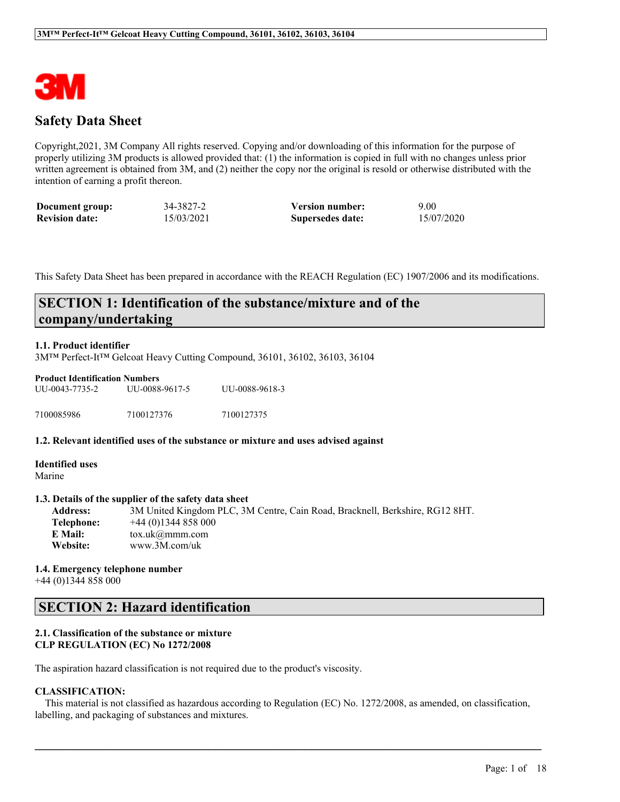

# **Safety Data Sheet**

Copyright,2021, 3M Company All rights reserved. Copying and/or downloading of this information for the purpose of properly utilizing 3M products is allowed provided that: (1) the information is copied in full with no changes unless prior written agreement is obtained from 3M, and (2) neither the copy nor the original is resold or otherwise distributed with the intention of earning a profit thereon.

| Document group:       | 34-3827-2  | <b>Version number:</b> | 9.00       |
|-----------------------|------------|------------------------|------------|
| <b>Revision date:</b> | 15/03/2021 | Supersedes date:       | 15/07/2020 |

This Safety Data Sheet has been prepared in accordance with the REACH Regulation (EC) 1907/2006 and its modifications.

# **SECTION 1: Identification of the substance/mixture and of the company/undertaking**

### **1.1. Product identifier**

3M™ Perfect-It™ Gelcoat Heavy Cutting Compound, 36101, 36102, 36103, 36104

| <b>Product Identification Numbers</b> |                |                |  |  |  |
|---------------------------------------|----------------|----------------|--|--|--|
| UU-0043-7735-2                        | UU-0088-9617-5 | UU-0088-9618-3 |  |  |  |
| 7100085986                            | 7100127376     | 7100127375     |  |  |  |

#### **1.2. Relevant identified uses of the substance or mixture and uses advised against**

**Identified uses** Marine

#### **1.3. Details of the supplier of the safety data sheet**

**Address:** 3M United Kingdom PLC, 3M Centre, Cain Road, Bracknell, Berkshire, RG12 8HT. **Telephone:** +44 (0)1344 858 000 **E Mail:** tox.uk@mmm.com **Website:** www.3M.com/uk

**1.4. Emergency telephone number** +44 (0)1344 858 000

# **SECTION 2: Hazard identification**

## **2.1. Classification of the substance or mixture CLP REGULATION (EC) No 1272/2008**

The aspiration hazard classification is not required due to the product's viscosity.

# **CLASSIFICATION:**

This material is not classified as hazardous according to Regulation (EC) No. 1272/2008, as amended, on classification, labelling, and packaging of substances and mixtures.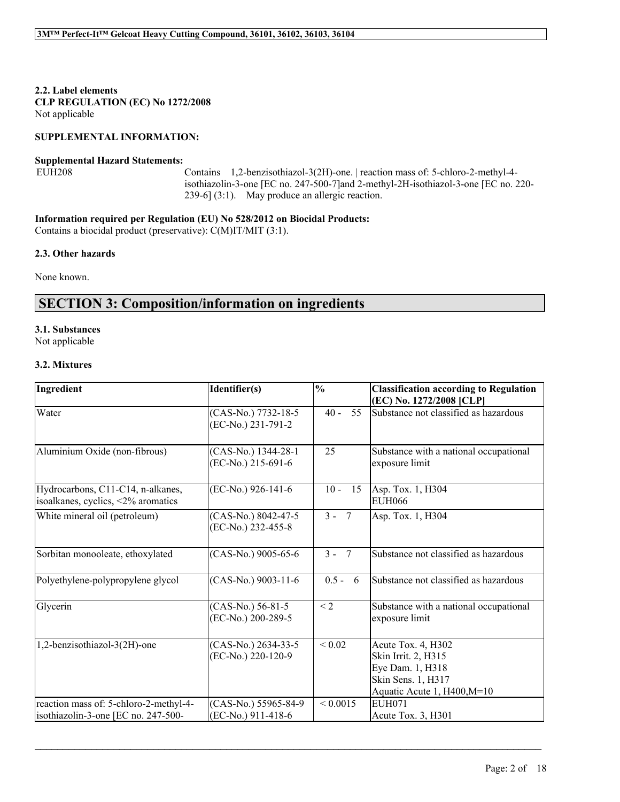**2.2. Label elements CLP REGULATION (EC) No 1272/2008** Not applicable

### **SUPPLEMENTAL INFORMATION:**

#### **Supplemental Hazard Statements:**

EUH208 Contains 1,2-benzisothiazol-3(2H)-one. | reaction mass of: 5-chloro-2-methyl-4 isothiazolin-3-one [EC no. 247-500-7]and 2-methyl-2H-isothiazol-3-one [EC no. 220- 239-6] (3:1). May produce an allergic reaction.

## **Information required per Regulation (EU) No 528/2012 on Biocidal Products:**

Contains a biocidal product (preservative): C(M)IT/MIT (3:1).

### **2.3. Other hazards**

None known.

# **SECTION 3: Composition/information on ingredients**

# **3.1. Substances**

Not applicable

### **3.2. Mixtures**

| Ingredient                                                              | Identifier(s)                             | $\frac{0}{0}$ | <b>Classification according to Regulation</b><br>(EC) No. 1272/2008 [CLP]                                          |
|-------------------------------------------------------------------------|-------------------------------------------|---------------|--------------------------------------------------------------------------------------------------------------------|
| Water                                                                   | (CAS-No.) 7732-18-5<br>(EC-No.) 231-791-2 | 55<br>$40 -$  | Substance not classified as hazardous                                                                              |
| Aluminium Oxide (non-fibrous)                                           | (CAS-No.) 1344-28-1<br>(EC-No.) 215-691-6 | 25            | Substance with a national occupational<br>exposure limit                                                           |
| Hydrocarbons, C11-C14, n-alkanes,<br>isoalkanes, cyclics, <2% aromatics | (EC-No.) 926-141-6                        | $10 -$<br>15  | Asp. Tox. 1, H304<br>EUH066                                                                                        |
| White mineral oil (petroleum)                                           | (CAS-No.) 8042-47-5<br>(EC-No.) 232-455-8 | $3 - 7$       | Asp. Tox. 1, H304                                                                                                  |
| Sorbitan monooleate, ethoxylated                                        | (CAS-No.) 9005-65-6                       | $3 - 7$       | Substance not classified as hazardous                                                                              |
| Polyethylene-polypropylene glycol                                       | (CAS-No.) 9003-11-6                       | $0.5 - 6$     | Substance not classified as hazardous                                                                              |
| Glycerin                                                                | (CAS-No.) 56-81-5<br>(EC-No.) 200-289-5   | $\leq$ 2      | Substance with a national occupational<br>exposure limit                                                           |
| 1,2-benzisothiazol-3(2H)-one                                            | (CAS-No.) 2634-33-5<br>(EC-No.) 220-120-9 | ${}_{0.02}$   | Acute Tox. 4, H302<br>Skin Irrit. 2, H315<br>Eye Dam. 1, H318<br>Skin Sens. 1, H317<br>Aquatic Acute 1, H400, M=10 |
| reaction mass of: 5-chloro-2-methyl-4-                                  | (CAS-No.) 55965-84-9                      | ${}_{0.0015}$ | <b>EUH071</b>                                                                                                      |
| isothiazolin-3-one [EC no. 247-500-                                     | (EC-No.) 911-418-6                        |               | Acute Tox. $3, H301$                                                                                               |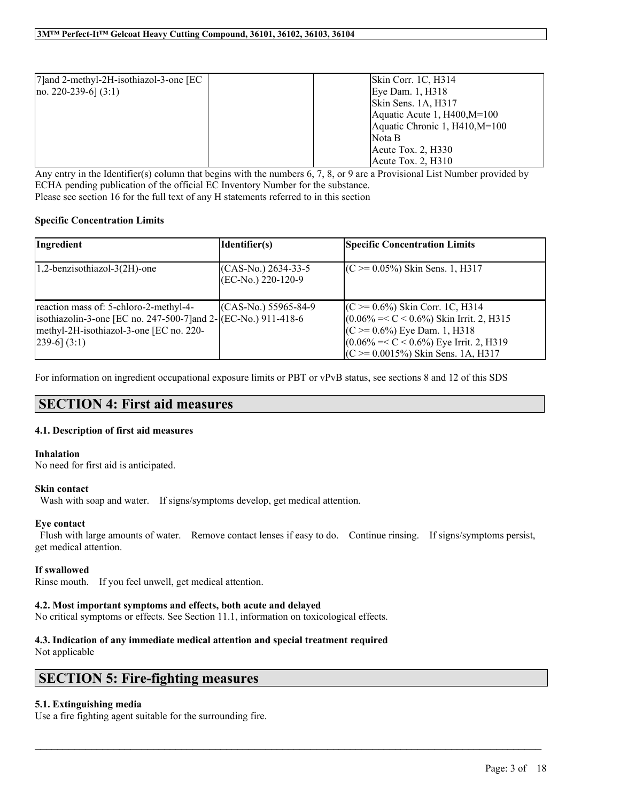| [7] and 2-methyl-2H-isothiazol-3-one [EC] | $\left  \right $ Skin Corr. 1C, H314 |
|-------------------------------------------|--------------------------------------|
| $[no. 220-239-6] (3:1)$                   | Eye Dam. 1, H318                     |
|                                           | Skin Sens. 1A, H317                  |
|                                           | Aquatic Acute 1, $H400$ , $M=100$    |
|                                           | Aquatic Chronic 1, H410, M=100       |
|                                           | INota B                              |
|                                           | Acute Tox. $2, H330$                 |
|                                           | Acute Tox. $2, H310$                 |

Any entry in the Identifier(s) column that begins with the numbers  $6, 7, 8,$  or 9 are a Provisional List Number provided by ECHA pending publication of the official EC Inventory Number for the substance. Please see section 16 for the full text of any H statements referred to in this section

## **Specific Concentration Limits**

| Ingredient                                                                                                                                                                  | Identifier(s)                                  | <b>Specific Concentration Limits</b>                                                                                                                                                                             |
|-----------------------------------------------------------------------------------------------------------------------------------------------------------------------------|------------------------------------------------|------------------------------------------------------------------------------------------------------------------------------------------------------------------------------------------------------------------|
| 1,2-benzisothiazol-3(2H)-one                                                                                                                                                | $(CAS-N0)$ 2634-33-5<br>$ (EC-N0.) 220-120-9 $ | $(C \ge 0.05\%)$ Skin Sens. 1, H317                                                                                                                                                                              |
| reaction mass of: 5-chloro-2-methyl-4-<br>isothiazolin-3-one [EC no. 247-500-7] and $2-$ (EC-No.) 911-418-6<br>methyl-2H-isothiazol-3-one [EC no. 220-<br>$[239-6]$ $(3:1)$ | $(CAS-N0)$ 55965-84-9                          | $(C \ge 0.6\%)$ Skin Corr. 1C, H314<br>$(0.06\% = < C < 0.6\%)$ Skin Irrit. 2, H315<br>$(C \ge 0.6\%)$ Eye Dam. 1, H318<br>$(0.06\% = < C < 0.6\%)$ Eye Irrit. 2, H319<br>$(C \ge 0.0015\%)$ Skin Sens. 1A, H317 |

For information on ingredient occupational exposure limits or PBT or vPvB status, see sections 8 and 12 of this SDS

# **SECTION 4: First aid measures**

### **4.1. Description of first aid measures**

### **Inhalation**

No need for first aid is anticipated.

### **Skin contact**

Wash with soap and water. If signs/symptoms develop, get medical attention.

### **Eye contact**

Flush with large amounts of water. Remove contact lenses if easy to do. Continue rinsing. If signs/symptoms persist, get medical attention.

 $\mathcal{L}_\mathcal{L} = \mathcal{L}_\mathcal{L} = \mathcal{L}_\mathcal{L} = \mathcal{L}_\mathcal{L} = \mathcal{L}_\mathcal{L} = \mathcal{L}_\mathcal{L} = \mathcal{L}_\mathcal{L} = \mathcal{L}_\mathcal{L} = \mathcal{L}_\mathcal{L} = \mathcal{L}_\mathcal{L} = \mathcal{L}_\mathcal{L} = \mathcal{L}_\mathcal{L} = \mathcal{L}_\mathcal{L} = \mathcal{L}_\mathcal{L} = \mathcal{L}_\mathcal{L} = \mathcal{L}_\mathcal{L} = \mathcal{L}_\mathcal{L}$ 

### **If swallowed**

Rinse mouth. If you feel unwell, get medical attention.

### **4.2. Most important symptoms and effects, both acute and delayed**

No critical symptoms or effects. See Section 11.1, information on toxicological effects.

# **4.3. Indication of any immediate medical attention and special treatment required**

Not applicable

# **SECTION 5: Fire-fighting measures**

### **5.1. Extinguishing media**

Use a fire fighting agent suitable for the surrounding fire.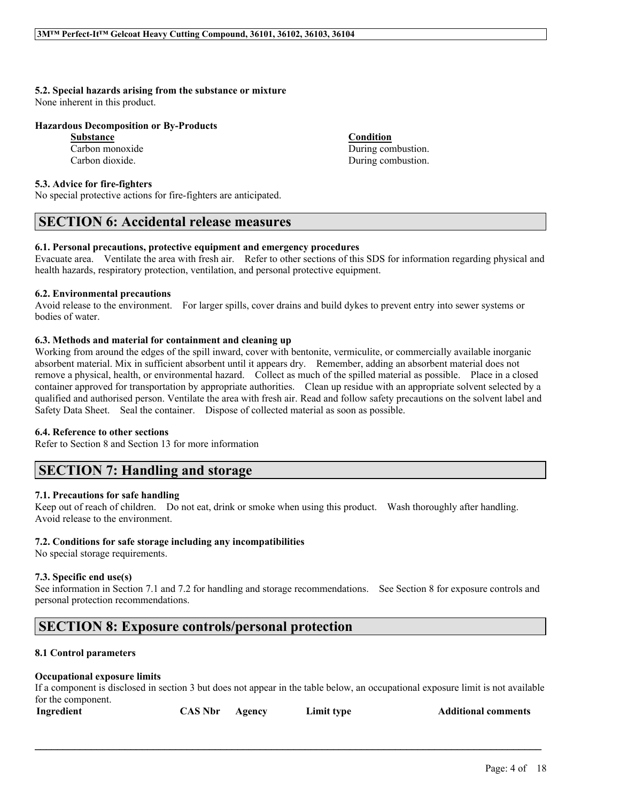# **5.2. Special hazards arising from the substance or mixture**

None inherent in this product.

## **Hazardous Decomposition or By-Products**

**Substance Condition**

## **5.3. Advice for fire-fighters**

No special protective actions for fire-fighters are anticipated.

# **SECTION 6: Accidental release measures**

## **6.1. Personal precautions, protective equipment and emergency procedures**

Evacuate area. Ventilate the area with fresh air. Refer to other sections of this SDS for information regarding physical and health hazards, respiratory protection, ventilation, and personal protective equipment.

## **6.2. Environmental precautions**

Avoid release to the environment. For larger spills, cover drains and build dykes to prevent entry into sewer systems or bodies of water.

# **6.3. Methods and material for containment and cleaning up**

Working from around the edges of the spill inward, cover with bentonite, vermiculite, or commercially available inorganic absorbent material. Mix in sufficient absorbent until it appears dry. Remember, adding an absorbent material does not remove a physical, health, or environmental hazard. Collect as much of the spilled material as possible. Place in a closed container approved for transportation by appropriate authorities. Clean up residue with an appropriate solvent selected by a qualified and authorised person. Ventilate the area with fresh air. Read and follow safety precautions on the solvent label and Safety Data Sheet. Seal the container. Dispose of collected material as soon as possible.

### **6.4. Reference to other sections**

Refer to Section 8 and Section 13 for more information

# **SECTION 7: Handling and storage**

# **7.1. Precautions for safe handling**

Keep out of reach of children. Do not eat, drink or smoke when using this product. Wash thoroughly after handling. Avoid release to the environment.

# **7.2. Conditions for safe storage including any incompatibilities**

No special storage requirements.

# **7.3. Specific end use(s)**

See information in Section 7.1 and 7.2 for handling and storage recommendations. See Section 8 for exposure controls and personal protection recommendations.

# **SECTION 8: Exposure controls/personal protection**

# **8.1 Control parameters**

# **Occupational exposure limits**

If a component is disclosed in section 3 but does not appear in the table below, an occupational exposure limit is not available for the component.

| <b>CAS Nbr</b><br>Ingredient | Limit type<br>Agency | <b>Additional comments</b> |
|------------------------------|----------------------|----------------------------|
|------------------------------|----------------------|----------------------------|

 $\mathcal{L}_\mathcal{L} = \mathcal{L}_\mathcal{L} = \mathcal{L}_\mathcal{L} = \mathcal{L}_\mathcal{L} = \mathcal{L}_\mathcal{L} = \mathcal{L}_\mathcal{L} = \mathcal{L}_\mathcal{L} = \mathcal{L}_\mathcal{L} = \mathcal{L}_\mathcal{L} = \mathcal{L}_\mathcal{L} = \mathcal{L}_\mathcal{L} = \mathcal{L}_\mathcal{L} = \mathcal{L}_\mathcal{L} = \mathcal{L}_\mathcal{L} = \mathcal{L}_\mathcal{L} = \mathcal{L}_\mathcal{L} = \mathcal{L}_\mathcal{L}$ 

Page: 4 of 18

Carbon monoxide During combustion. Carbon dioxide. During combustion.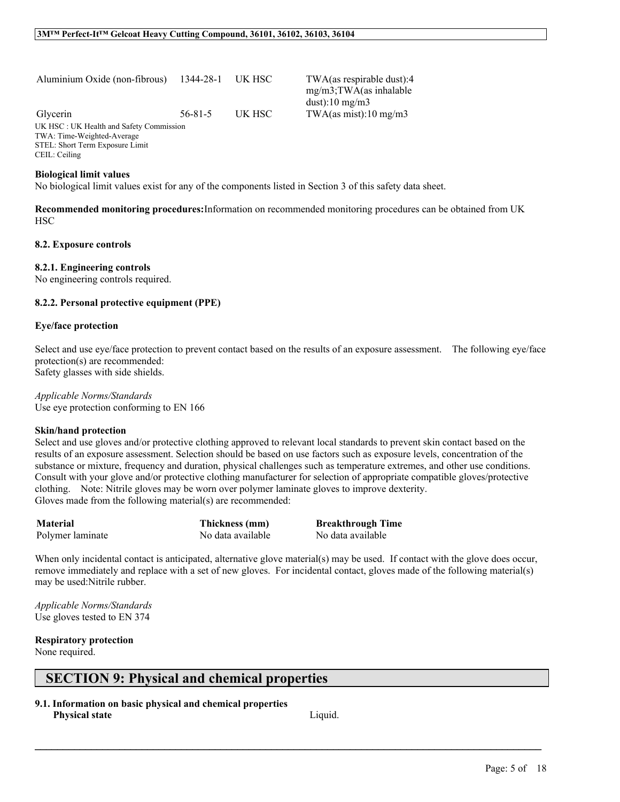| Aluminium Oxide (non-fibrous) 1344-28-1 UK HSC                        |               |        |  |
|-----------------------------------------------------------------------|---------------|--------|--|
| Glycerin                                                              | $56 - 81 - 5$ | UK HSC |  |
| UK HSC: UK Health and Safety Commission<br>TWA: Time-Weighted-Average |               |        |  |
| STEL: Short Term Exposure Limit                                       |               |        |  |
| CEIL: Ceiling                                                         |               |        |  |
|                                                                       |               |        |  |

#### **Biological limit values**

No biological limit values exist for any of the components listed in Section 3 of this safety data sheet.

**Recommended monitoring procedures:**Information on recommended monitoring procedures can be obtained from UK **HSC** 

TWA(as respirable dust):4 mg/m3;TWA(as inhalable

TWA(as mist):10 mg/m3

dust): $10 \text{ mg/m}$ 3

#### **8.2. Exposure controls**

#### **8.2.1. Engineering controls**

No engineering controls required.

#### **8.2.2. Personal protective equipment (PPE)**

#### **Eye/face protection**

Select and use eye/face protection to prevent contact based on the results of an exposure assessment. The following eye/face protection(s) are recommended:

Safety glasses with side shields.

*Applicable Norms/Standards* Use eye protection conforming to EN 166

#### **Skin/hand protection**

Select and use gloves and/or protective clothing approved to relevant local standards to prevent skin contact based on the results of an exposure assessment. Selection should be based on use factors such as exposure levels, concentration of the substance or mixture, frequency and duration, physical challenges such as temperature extremes, and other use conditions. Consult with your glove and/or protective clothing manufacturer for selection of appropriate compatible gloves/protective clothing. Note: Nitrile gloves may be worn over polymer laminate gloves to improve dexterity. Gloves made from the following material(s) are recommended:

| <b>Material</b>  | Thickness (mm)    | <b>Breakthrough Time</b> |
|------------------|-------------------|--------------------------|
| Polymer laminate | No data available | No data available        |

When only incidental contact is anticipated, alternative glove material(s) may be used. If contact with the glove does occur, remove immediately and replace with a set of new gloves. For incidental contact, gloves made of the following material(s) may be used:Nitrile rubber.

 $\mathcal{L}_\mathcal{L} = \mathcal{L}_\mathcal{L} = \mathcal{L}_\mathcal{L} = \mathcal{L}_\mathcal{L} = \mathcal{L}_\mathcal{L} = \mathcal{L}_\mathcal{L} = \mathcal{L}_\mathcal{L} = \mathcal{L}_\mathcal{L} = \mathcal{L}_\mathcal{L} = \mathcal{L}_\mathcal{L} = \mathcal{L}_\mathcal{L} = \mathcal{L}_\mathcal{L} = \mathcal{L}_\mathcal{L} = \mathcal{L}_\mathcal{L} = \mathcal{L}_\mathcal{L} = \mathcal{L}_\mathcal{L} = \mathcal{L}_\mathcal{L}$ 

*Applicable Norms/Standards* Use gloves tested to EN 374

### **Respiratory protection**

None required.

# **SECTION 9: Physical and chemical properties**

**9.1. Information on basic physical and chemical properties Physical state** Liquid.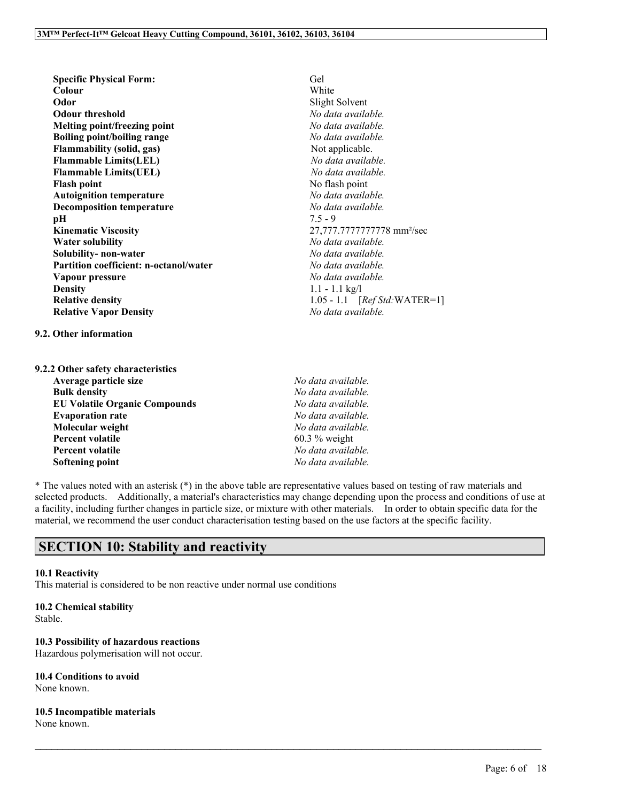**Specific Physical Form:** Gel **Colour** White **Odor** Slight Solvent **Odour threshold** *No data available.* **Melting point/freezing point** *No data available.* **Boiling point/boiling range** *No data available.* **Flammability** (solid, gas) Not applicable. **Flammable Limits(LEL)** *No data available.* **Flammable Limits(UEL)** *No data available.* **Flash point** No flash point **Autoignition temperature** *No data available.* **Decomposition temperature** *No data available.*<br>**pH**  $7.5 - 9$ **pH** 7.5 - 9 **Kinematic Viscosity** 27,777.7777777778 mm²/sec **Water solubility** *No data available.* **Solubility- non-water** *No data available.* **Partition coefficient: n-octanol/water** *No data available.* **Vapour pressure** *No data available.* **Density** 1.1 - 1.1 kg/l **Relative density**<br> **Relative Vapor Density**<br> **Relative Vapor Density**<br> *No data available.* **Relative Vapor Density** *No data available.*

**9.2. Other information**

**9.2.2 Other safety characteristics Average particle size** *No data available.* **Bulk density** *No data available.* **EU Volatile Organic Compounds** *No data available.* **Evaporation rate** *No data available.* **Molecular weight** *No data available.* **Percent volatile** 60.3 % weight **Percent volatile** *No data available.* **Softening point** *No data available.*

\* The values noted with an asterisk (\*) in the above table are representative values based on testing of raw materials and selected products. Additionally, a material's characteristics may change depending upon the process and conditions of use at a facility, including further changes in particle size, or mixture with other materials. In order to obtain specific data for the material, we recommend the user conduct characterisation testing based on the use factors at the specific facility.

 $\mathcal{L}_\mathcal{L} = \mathcal{L}_\mathcal{L} = \mathcal{L}_\mathcal{L} = \mathcal{L}_\mathcal{L} = \mathcal{L}_\mathcal{L} = \mathcal{L}_\mathcal{L} = \mathcal{L}_\mathcal{L} = \mathcal{L}_\mathcal{L} = \mathcal{L}_\mathcal{L} = \mathcal{L}_\mathcal{L} = \mathcal{L}_\mathcal{L} = \mathcal{L}_\mathcal{L} = \mathcal{L}_\mathcal{L} = \mathcal{L}_\mathcal{L} = \mathcal{L}_\mathcal{L} = \mathcal{L}_\mathcal{L} = \mathcal{L}_\mathcal{L}$ 

# **SECTION 10: Stability and reactivity**

# **10.1 Reactivity**

This material is considered to be non reactive under normal use conditions

**10.2 Chemical stability**

Stable.

**10.3 Possibility of hazardous reactions**

Hazardous polymerisation will not occur.

**10.4 Conditions to avoid** None known.

**10.5 Incompatible materials**

None known.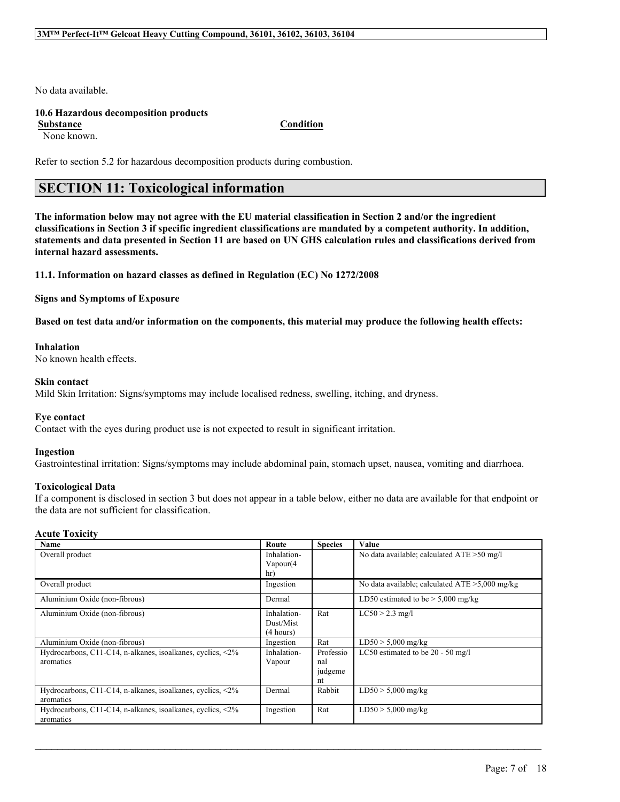No data available.

## **10.6 Hazardous decomposition products**

**Substance Condition**

None known.

Refer to section 5.2 for hazardous decomposition products during combustion.

# **SECTION 11: Toxicological information**

The information below may not agree with the EU material classification in Section 2 and/or the ingredient classifications in Section 3 if specific ingredient classifications are mandated by a competent authority. In addition, statements and data presented in Section 11 are based on UN GHS calculation rules and classifications derived from **internal hazard assessments.**

**11.1. Information on hazard classes as defined in Regulation (EC) No 1272/2008**

**Signs and Symptoms of Exposure**

Based on test data and/or information on the components, this material may produce the following health effects:

### **Inhalation**

No known health effects.

### **Skin contact**

Mild Skin Irritation: Signs/symptoms may include localised redness, swelling, itching, and dryness.

## **Eye contact**

Contact with the eyes during product use is not expected to result in significant irritation.

### **Ingestion**

Gastrointestinal irritation: Signs/symptoms may include abdominal pain, stomach upset, nausea, vomiting and diarrhoea.

### **Toxicological Data**

If a component is disclosed in section 3 but does not appear in a table below, either no data are available for that endpoint or the data are not sufficient for classification.

### **Acute Toxicity**

| Name                                                       | Route       | <b>Species</b> | Value                                             |
|------------------------------------------------------------|-------------|----------------|---------------------------------------------------|
| Overall product                                            | Inhalation- |                | No data available; calculated ATE > 50 mg/l       |
|                                                            | Vapour(4)   |                |                                                   |
|                                                            | hr)         |                |                                                   |
| Overall product                                            | Ingestion   |                | No data available; calculated $ATE > 5,000$ mg/kg |
| Aluminium Oxide (non-fibrous)                              | Dermal      |                | LD50 estimated to be $> 5,000$ mg/kg              |
| Aluminium Oxide (non-fibrous)                              | Inhalation- | Rat            | $LC50 > 2.3$ mg/l                                 |
|                                                            | Dust/Mist   |                |                                                   |
|                                                            | (4 hours)   |                |                                                   |
| Aluminium Oxide (non-fibrous)                              | Ingestion   | Rat            | $LD50 > 5,000$ mg/kg                              |
| Hydrocarbons, C11-C14, n-alkanes, isoalkanes, cyclics, <2% | Inhalation- | Professio      | LC50 estimated to be $20 - 50$ mg/l               |
| aromatics                                                  | Vapour      | nal            |                                                   |
|                                                            |             | judgeme        |                                                   |
|                                                            |             | nt             |                                                   |
| Hydrocarbons, C11-C14, n-alkanes, isoalkanes, cyclics, <2% | Dermal      | Rabbit         | $LD50 > 5,000$ mg/kg                              |
| aromatics                                                  |             |                |                                                   |
| Hydrocarbons, C11-C14, n-alkanes, isoalkanes, cyclics, <2% | Ingestion   | Rat            | $LD50 > 5,000$ mg/kg                              |
| aromatics                                                  |             |                |                                                   |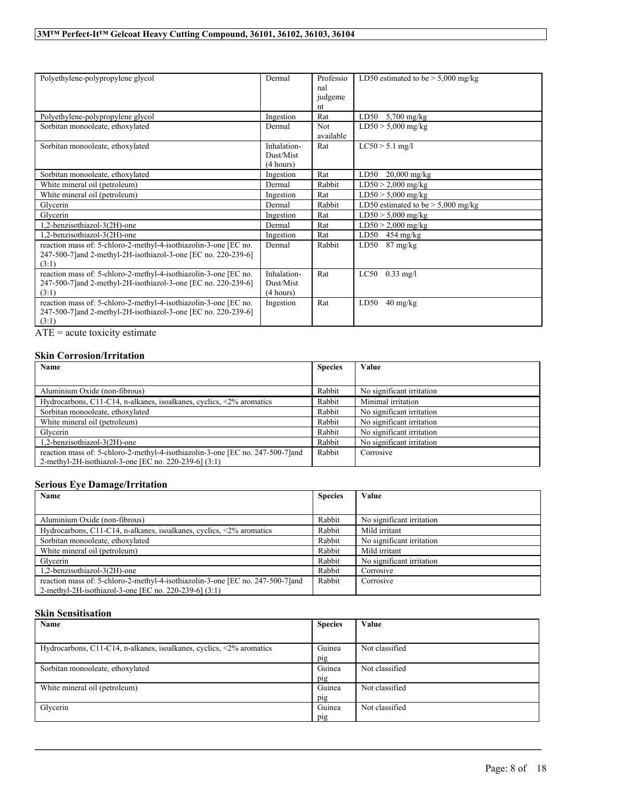| Polyethylene-polypropylene glycol                                                                                                           | Dermal                                | Professio<br>nal<br>judgeme | LD50 estimated to be $> 5,000$ mg/kg     |
|---------------------------------------------------------------------------------------------------------------------------------------------|---------------------------------------|-----------------------------|------------------------------------------|
|                                                                                                                                             |                                       | nt                          |                                          |
| Polyethylene-polypropylene glycol                                                                                                           | Ingestion                             | Rat                         | LD50<br>$5,700$ mg/kg                    |
| Sorbitan monooleate, ethoxylated                                                                                                            | Dermal                                | Not<br>available            | $LD50 > 5,000$ mg/kg                     |
| Sorbitan monooleate, ethoxylated                                                                                                            | Inhalation-<br>Dust/Mist<br>(4 hours) | Rat                         | $LC50 > 5.1$ mg/l                        |
| Sorbitan monooleate, ethoxylated                                                                                                            | Ingestion                             | Rat                         | LD50<br>$20,000$ mg/kg                   |
| White mineral oil (petroleum)                                                                                                               | Dermal                                | Rabbit                      | $LD50 > 2,000$ mg/kg                     |
| White mineral oil (petroleum)                                                                                                               | Ingestion                             | Rat                         | $LD50 > 5,000$ mg/kg                     |
| Glycerin                                                                                                                                    | Dermal                                | Rabbit                      | LD50 estimated to be $>$ 5,000 mg/kg     |
| Glycerin                                                                                                                                    | Ingestion                             | Rat                         | $LD50 > 5,000$ mg/kg                     |
| 1,2-benzisothiazol-3(2H)-one                                                                                                                | Dermal                                | Rat                         | $LD50 > 2,000$ mg/kg                     |
| 1,2-benzisothiazol-3(2H)-one                                                                                                                | Ingestion                             | Rat                         | LD50<br>$454 \text{ mg/kg}$              |
| reaction mass of: 5-chloro-2-methyl-4-isothiazolin-3-one [EC no.<br>247-500-7]and 2-methyl-2H-isothiazol-3-one [EC no. 220-239-6]<br>(3:1)  | Dermal                                | Rabbit                      | LD50<br>$87 \text{ mg/kg}$               |
| reaction mass of: 5-chloro-2-methyl-4-isothiazolin-3-one [EC no.<br>247-500-7] and 2-methyl-2H-isothiazol-3-one [EC no. 220-239-6]<br>(3:1) | Inhalation-<br>Dust/Mist<br>(4 hours) | Rat                         | LC50<br>$0.33 \text{ mg/l}$              |
| reaction mass of: 5-chloro-2-methyl-4-isothiazolin-3-one [EC no.<br>247-500-7] and 2-methyl-2H-isothiazol-3-one [EC no. 220-239-6]<br>(3:1) | Ingestion                             | Rat                         | LD50<br>$40 \frac{\text{mg}}{\text{kg}}$ |

ATE = acute toxicity estimate

# **Skin Corrosion/Irritation**

| Name                                                                            | <b>Species</b> | Value                     |
|---------------------------------------------------------------------------------|----------------|---------------------------|
|                                                                                 |                |                           |
| Aluminium Oxide (non-fibrous)                                                   | Rabbit         | No significant irritation |
| Hydrocarbons, C11-C14, n-alkanes, isoalkanes, cyclics, $\langle 2\%$ aromatics  | Rabbit         | Minimal irritation        |
| Sorbitan monooleate, ethoxylated                                                | Rabbit         | No significant irritation |
| White mineral oil (petroleum)                                                   | Rabbit         | No significant irritation |
| Glycerin                                                                        | Rabbit         | No significant irritation |
| 1,2-benzisothiazol-3(2H)-one                                                    | Rabbit         | No significant irritation |
| reaction mass of: 5-chloro-2-methyl-4-isothiazolin-3-one [EC no. 247-500-7] and | Rabbit         | Corrosive                 |
| 2-methyl-2H-isothiazol-3-one [EC no. 220-239-6] (3:1)                           |                |                           |

# **Serious Eye Damage/Irritation**

| Name                                                                            | <b>Species</b> | Value                     |
|---------------------------------------------------------------------------------|----------------|---------------------------|
|                                                                                 |                |                           |
| Aluminium Oxide (non-fibrous)                                                   | Rabbit         | No significant irritation |
| Hydrocarbons, C11-C14, n-alkanes, isoalkanes, cyclics, $\langle 2\%$ aromatics  | Rabbit         | Mild irritant             |
| Sorbitan monooleate, ethoxylated                                                | Rabbit         | No significant irritation |
| White mineral oil (petroleum)                                                   | Rabbit         | Mild irritant             |
| Glycerin                                                                        | Rabbit         | No significant irritation |
| 1,2-benzisothiazol-3(2H)-one                                                    | Rabbit         | Corrosive                 |
| reaction mass of: 5-chloro-2-methyl-4-isothiazolin-3-one [EC no. 247-500-7] and | Rabbit         | Corrosive                 |
| 2-methyl-2H-isothiazol-3-one [EC no. 220-239-6] (3:1)                           |                |                           |

# **Skin Sensitisation**

| Name                                                                           | <b>Species</b> | Value          |
|--------------------------------------------------------------------------------|----------------|----------------|
|                                                                                |                |                |
| Hydrocarbons, C11-C14, n-alkanes, isoalkanes, cyclics, $\langle 2\%$ aromatics | Guinea         | Not classified |
|                                                                                | pig            |                |
| Sorbitan monooleate, ethoxylated                                               | Guinea         | Not classified |
|                                                                                | pig            |                |
| White mineral oil (petroleum)                                                  | Guinea         | Not classified |
|                                                                                | pig            |                |
| Glycerin                                                                       | Guinea         | Not classified |
|                                                                                | pig            |                |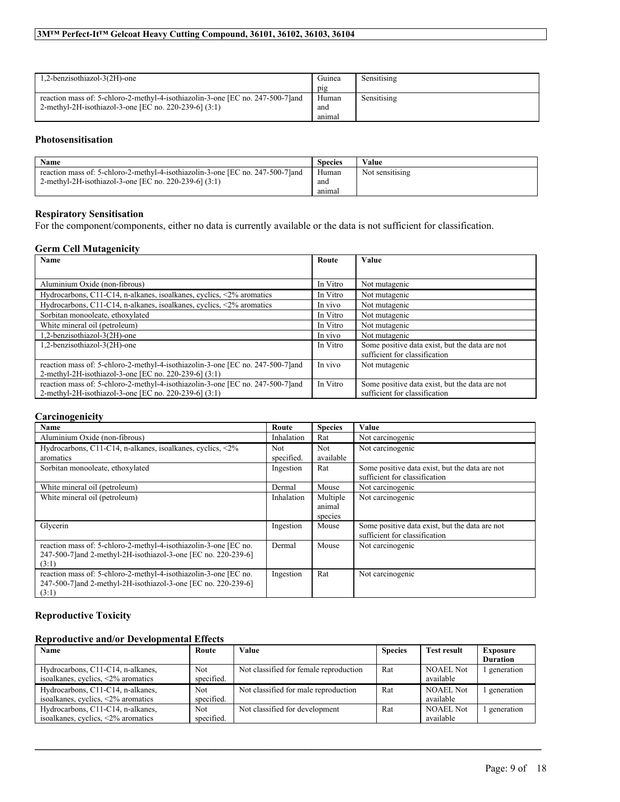| 1,2-benzisothiazol-3(2H)-one                                                                                                             | Guinea<br>pig          | Sensitising |
|------------------------------------------------------------------------------------------------------------------------------------------|------------------------|-------------|
| reaction mass of: 5-chloro-2-methyl-4-isothiazolin-3-one [EC no. 247-500-7] and<br>2-methyl-2H-isothiazol-3-one [EC no. 220-239-6] (3:1) | Human<br>and<br>anımal | Sensitising |

# **Photosensitisation**

| Name                                                                            | <b>Species</b> | Value           |
|---------------------------------------------------------------------------------|----------------|-----------------|
| reaction mass of: 5-chloro-2-methyl-4-isothiazolin-3-one [EC no. 247-500-7] and | Human          | Not sensitising |
| 2-methyl-2H-isothiazol-3-one [EC no. 220-239-6] (3:1)                           | ano            |                 |
|                                                                                 | anımal         |                 |

## **Respiratory Sensitisation**

For the component/components, either no data is currently available or the data is not sufficient for classification.

## **Germ Cell Mutagenicity**

| Name                                                                                                                                     | Route    | Value                                                                           |
|------------------------------------------------------------------------------------------------------------------------------------------|----------|---------------------------------------------------------------------------------|
|                                                                                                                                          |          |                                                                                 |
| Aluminium Oxide (non-fibrous)                                                                                                            | In Vitro | Not mutagenic                                                                   |
| Hydrocarbons, C11-C14, n-alkanes, isoalkanes, cyclics, $\langle 2\%$ aromatics                                                           | In Vitro | Not mutagenic                                                                   |
| Hydrocarbons, C11-C14, n-alkanes, isoalkanes, cyclics, <2% aromatics                                                                     | In vivo  | Not mutagenic                                                                   |
| Sorbitan monooleate, ethoxylated                                                                                                         | In Vitro | Not mutagenic                                                                   |
| White mineral oil (petroleum)                                                                                                            | In Vitro | Not mutagenic                                                                   |
| 1,2-benzisothiazol-3(2H)-one                                                                                                             | In vivo  | Not mutagenic                                                                   |
| 1,2-benzisothiazol-3(2H)-one                                                                                                             | In Vitro | Some positive data exist, but the data are not<br>sufficient for classification |
| reaction mass of: 5-chloro-2-methyl-4-isothiazolin-3-one [EC no. 247-500-7] and<br>2-methyl-2H-isothiazol-3-one [EC no. 220-239-6] (3:1) | In vivo  | Not mutagenic                                                                   |
|                                                                                                                                          |          |                                                                                 |
| reaction mass of: 5-chloro-2-methyl-4-isothiazolin-3-one [EC no. 247-500-7] and                                                          | In Vitro | Some positive data exist, but the data are not                                  |
| 2-methyl-2H-isothiazol-3-one [EC no. 220-239-6] (3:1)                                                                                    |          | sufficient for classification                                                   |

## **Carcinogenicity**

| Name                                                             | Route      | <b>Species</b> | Value                                          |
|------------------------------------------------------------------|------------|----------------|------------------------------------------------|
| Aluminium Oxide (non-fibrous)                                    | Inhalation | Rat            | Not carcinogenic                               |
| Hydrocarbons, C11-C14, n-alkanes, isoalkanes, cyclics, <2%       | <b>Not</b> | Not            | Not carcinogenic                               |
| aromatics                                                        | specified. | available      |                                                |
| Sorbitan monooleate, ethoxylated                                 | Ingestion  | Rat            | Some positive data exist, but the data are not |
|                                                                  |            |                | sufficient for classification                  |
| White mineral oil (petroleum)                                    | Dermal     | Mouse          | Not carcinogenic                               |
| White mineral oil (petroleum)                                    | Inhalation | Multiple       | Not carcinogenic                               |
|                                                                  |            | animal         |                                                |
|                                                                  |            | species        |                                                |
| Glycerin                                                         | Ingestion  | Mouse          | Some positive data exist, but the data are not |
|                                                                  |            |                | sufficient for classification                  |
| reaction mass of: 5-chloro-2-methyl-4-isothiazolin-3-one [EC no. | Dermal     | Mouse          | Not carcinogenic                               |
| 247-500-7] and 2-methyl-2H-isothiazol-3-one [EC no. 220-239-6]   |            |                |                                                |
| (3:1)                                                            |            |                |                                                |
| reaction mass of: 5-chloro-2-methyl-4-isothiazolin-3-one [EC no. | Ingestion  | Rat            | Not carcinogenic                               |
| 247-500-7]and 2-methyl-2H-isothiazol-3-one [EC no. 220-239-6]    |            |                |                                                |
| (3:1)                                                            |            |                |                                                |

# **Reproductive Toxicity**

### **Reproductive and/or Developmental Effects**

| Name                                         | Route      | Value                                  | <b>Species</b> | <b>Test result</b> | <b>Exposure</b> |
|----------------------------------------------|------------|----------------------------------------|----------------|--------------------|-----------------|
|                                              |            |                                        |                |                    | <b>Duration</b> |
| Hydrocarbons, C11-C14, n-alkanes,            | Not.       | Not classified for female reproduction | Rat            | NOAEL Not          | l generation    |
| isoalkanes, cyclics, $\langle 2\%$ aromatics | specified. |                                        |                | available          |                 |
| Hydrocarbons, C11-C14, n-alkanes,            | <b>Not</b> | Not classified for male reproduction   | Rat            | <b>NOAEL Not</b>   | generation      |
| isoalkanes, cyclics, $\langle 2\%$ aromatics | specified. |                                        |                | available          |                 |
| Hydrocarbons, C11-C14, n-alkanes,            | <b>Not</b> | Not classified for development         | Rat            | <b>NOAEL Not</b>   | generation      |
| isoalkanes, cyclics, $\langle 2\%$ aromatics | specified. |                                        |                | available          |                 |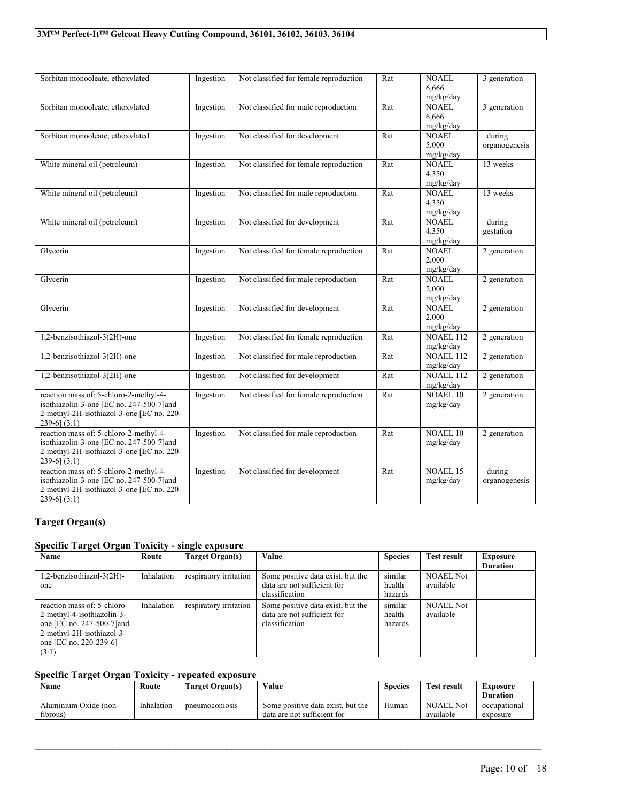| Sorbitan monooleate, ethoxylated                                                                                                                     | Ingestion | Not classified for female reproduction | Rat | <b>NOAEL</b><br>6,666<br>mg/kg/day | 3 generation            |
|------------------------------------------------------------------------------------------------------------------------------------------------------|-----------|----------------------------------------|-----|------------------------------------|-------------------------|
| Sorbitan monooleate, ethoxylated                                                                                                                     | Ingestion | Not classified for male reproduction   | Rat | <b>NOAEL</b><br>6,666<br>mg/kg/day | 3 generation            |
| Sorbitan monooleate, ethoxylated                                                                                                                     | Ingestion | Not classified for development         | Rat | <b>NOAEL</b><br>5,000<br>mg/kg/day | during<br>organogenesis |
| White mineral oil (petroleum)                                                                                                                        | Ingestion | Not classified for female reproduction | Rat | <b>NOAEL</b><br>4,350<br>mg/kg/day | 13 weeks                |
| White mineral oil (petroleum)                                                                                                                        | Ingestion | Not classified for male reproduction   | Rat | <b>NOAEL</b><br>4,350<br>mg/kg/day | 13 weeks                |
| White mineral oil (petroleum)                                                                                                                        | Ingestion | Not classified for development         | Rat | <b>NOAEL</b><br>4,350<br>mg/kg/day | during<br>gestation     |
| Glycerin                                                                                                                                             | Ingestion | Not classified for female reproduction | Rat | <b>NOAEL</b><br>2,000<br>mg/kg/day | 2 generation            |
| Glycerin                                                                                                                                             | Ingestion | Not classified for male reproduction   | Rat | <b>NOAEL</b><br>2,000<br>mg/kg/day | 2 generation            |
| Glycerin                                                                                                                                             | Ingestion | Not classified for development         | Rat | <b>NOAEL</b><br>2,000<br>mg/kg/day | 2 generation            |
| 1,2-benzisothiazol-3(2H)-one                                                                                                                         | Ingestion | Not classified for female reproduction | Rat | <b>NOAEL 112</b><br>mg/kg/day      | 2 generation            |
| 1,2-benzisothiazol-3(2H)-one                                                                                                                         | Ingestion | Not classified for male reproduction   | Rat | <b>NOAEL 112</b><br>mg/kg/day      | 2 generation            |
| 1,2-benzisothiazol-3(2H)-one                                                                                                                         | Ingestion | Not classified for development         | Rat | NOAEL 112<br>mg/kg/day             | 2 generation            |
| reaction mass of: 5-chloro-2-methyl-4-<br>isothiazolin-3-one [EC no. 247-500-7]and<br>2-methyl-2H-isothiazol-3-one [EC no. 220-<br>239-6] $(3:1)$    | Ingestion | Not classified for female reproduction | Rat | <b>NOAEL 10</b><br>mg/kg/day       | 2 generation            |
| reaction mass of: 5-chloro-2-methyl-4-<br>isothiazolin-3-one [EC no. 247-500-7]and<br>2-methyl-2H-isothiazol-3-one [EC no. 220-<br>$239-6$ ] $(3:1)$ | Ingestion | Not classified for male reproduction   | Rat | <b>NOAEL 10</b><br>mg/kg/day       | 2 generation            |
| reaction mass of: 5-chloro-2-methyl-4-<br>isothiazolin-3-one [EC no. 247-500-7]and<br>2-methyl-2H-isothiazol-3-one [EC no. 220-<br>$239-6$ (3:1)     | Ingestion | Not classified for development         | Rat | <b>NOAEL 15</b><br>mg/kg/day       | during<br>organogenesis |

# **Target Organ(s)**

# **Specific Target Organ Toxicity - single exposure**

| Name                        | Route      | Target Organ(s)        | Value                             | <b>Species</b> | <b>Test result</b> | Exposure        |
|-----------------------------|------------|------------------------|-----------------------------------|----------------|--------------------|-----------------|
|                             |            |                        |                                   |                |                    | <b>Duration</b> |
| 1,2-benzisothiazol-3(2H)-   | Inhalation | respiratory irritation | Some positive data exist, but the | similar        | <b>NOAEL Not</b>   |                 |
| one                         |            |                        | data are not sufficient for       | health         | available          |                 |
|                             |            |                        | classification                    | hazards        |                    |                 |
| reaction mass of: 5-chloro- | Inhalation | respiratory irritation | Some positive data exist, but the | similar        | <b>NOAEL Not</b>   |                 |
| 2-methyl-4-isothiazolin-3-  |            |                        | data are not sufficient for       | health         | available          |                 |
| one [EC no. 247-500-7] and  |            |                        | classification                    | hazards        |                    |                 |
| 2-methyl-2H-isothiazol-3-   |            |                        |                                   |                |                    |                 |
| one [EC no. 220-239-6]      |            |                        |                                   |                |                    |                 |
| (3:1)                       |            |                        |                                   |                |                    |                 |

# **Specific Target Organ Toxicity - repeated exposure**

| Name                              | Route      | Target Organ(s)      | Value                                                            | <b>Species</b> | Test result                   | Exposure<br><b>Duration</b> |
|-----------------------------------|------------|----------------------|------------------------------------------------------------------|----------------|-------------------------------|-----------------------------|
| Aluminium Oxide (non-<br>fibrous) | Inhalation | <i>neumoconiosis</i> | Some positive data exist, but the<br>data are not sufficient for | Human          | <b>NOAEL</b> Not<br>available | occupational<br>exposure    |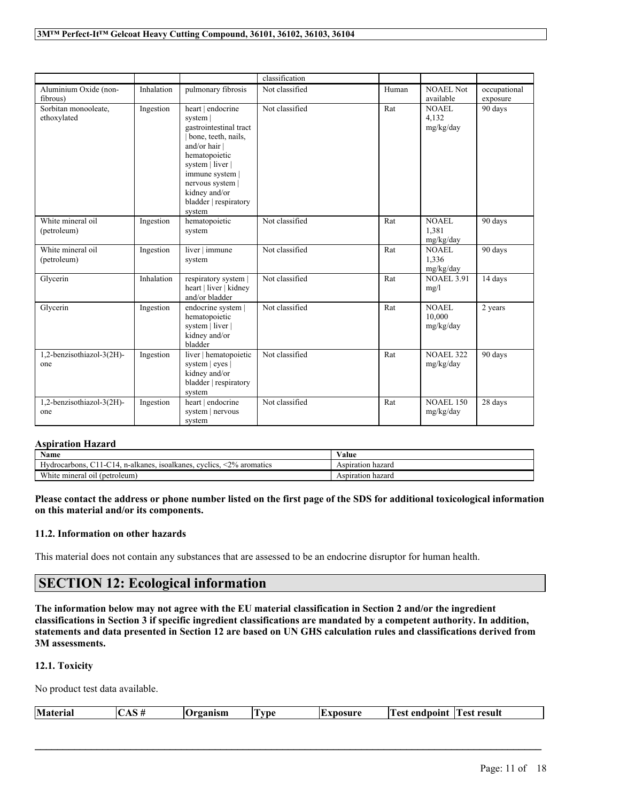|                                     |            |                                                                                                                                                                                                                               | classification |       |                                     |                          |
|-------------------------------------|------------|-------------------------------------------------------------------------------------------------------------------------------------------------------------------------------------------------------------------------------|----------------|-------|-------------------------------------|--------------------------|
| Aluminium Oxide (non-<br>fibrous)   | Inhalation | pulmonary fibrosis                                                                                                                                                                                                            | Not classified | Human | NOAEL Not<br>available              | occupational<br>exposure |
| Sorbitan monooleate,<br>ethoxylated | Ingestion  | heart   endocrine<br>system<br>gastrointestinal tract<br>bone, teeth, nails,<br>and/or hair  <br>hematopoietic<br>system   liver  <br>immune system  <br>nervous system  <br>kidney and/or<br>bladder   respiratory<br>system | Not classified | Rat   | NOAEL<br>4.132<br>mg/kg/day         | 90 days                  |
| White mineral oil<br>(petroleum)    | Ingestion  | hematopoietic<br>system                                                                                                                                                                                                       | Not classified | Rat   | <b>NOAEL</b><br>1,381<br>mg/kg/day  | 90 days                  |
| White mineral oil<br>(petroleum)    | Ingestion  | liver   immune<br>system                                                                                                                                                                                                      | Not classified | Rat   | NOAEL<br>1.336<br>mg/kg/day         | 90 days                  |
| Glycerin                            | Inhalation | respiratory system  <br>heart   liver   kidney<br>and/or bladder                                                                                                                                                              | Not classified | Rat   | <b>NOAEL 3.91</b><br>mg/l           | 14 days                  |
| Glycerin                            | Ingestion  | endocrine system  <br>hematopoietic<br>system   liver  <br>kidney and/or<br>bladder                                                                                                                                           | Not classified | Rat   | <b>NOAEL</b><br>10,000<br>mg/kg/day | 2 years                  |
| 1,2-benzisothiazol-3(2H)-<br>one    | Ingestion  | liver   hematopoietic<br>system   eyes  <br>kidney and/or<br>bladder   respiratory<br>system                                                                                                                                  | Not classified | Rat   | <b>NOAEL 322</b><br>mg/kg/day       | 90 days                  |
| 1,2-benzisothiazol-3(2H)-<br>one    | Ingestion  | heart   endocrine<br>system   nervous<br>system                                                                                                                                                                               | Not classified | Rat   | <b>NOAEL 150</b><br>mg/kg/day       | 28 days                  |

### **Aspiration Hazard**

| Name                                                                                                  | ⁄ alue               |
|-------------------------------------------------------------------------------------------------------|----------------------|
| $2\%$<br>isoalkanes.<br>aromatics<br>Hydrocarbons.<br>evelies.<br>. n-alkanes<br>$\sim$ 14<br>$1 - 1$ | hazaro<br>Aspiration |
| <b>YY YE</b><br>(petroleum,<br>mineral oil (<br>hite                                                  | hazaro<br>Aspiration |

Please contact the address or phone number listed on the first page of the SDS for additional toxicological information **on this material and/or its components.**

## **11.2. Information on other hazards**

This material does not contain any substances that are assessed to be an endocrine disruptor for human health.

# **SECTION 12: Ecological information**

The information below may not agree with the EU material classification in Section 2 and/or the ingredient classifications in Section 3 if specific ingredient classifications are mandated by a competent authority. In addition, statements and data presented in Section 12 are based on UN GHS calculation rules and classifications derived from **3M assessments.**

**12.1. Toxicity**

No product test data available.

| <b>Material</b> | <br>10 М<br>$M = 0.01$<br>пын | . .<br>vne<br>л. | .oosure | n<br>endnoınt<br>$\triangle$ C1 | result<br>. est |
|-----------------|-------------------------------|------------------|---------|---------------------------------|-----------------|
|                 |                               |                  |         |                                 |                 |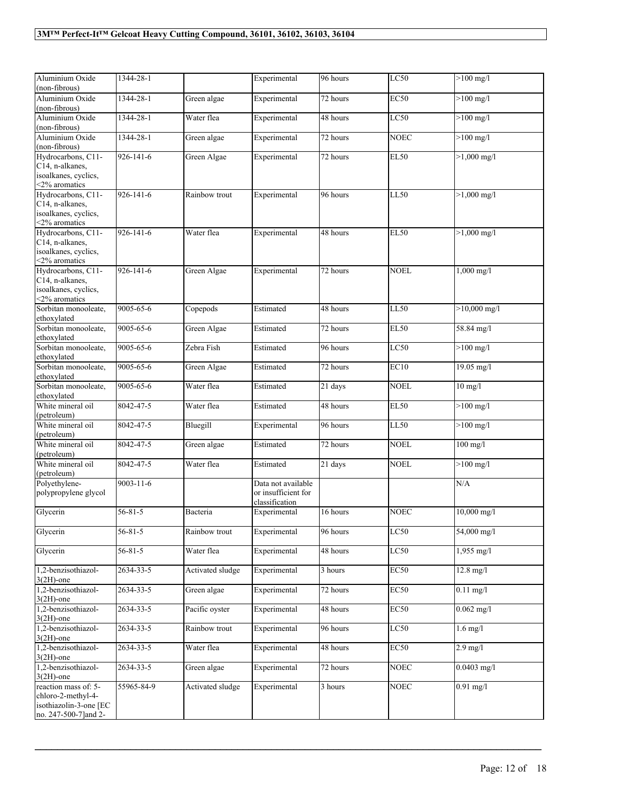| Aluminium Oxide<br>LC50<br>$>100$ mg/l<br>1344-28-1<br>96 hours<br>(non-fibrous)<br>Aluminium Oxide<br>$>100$ mg/l<br>1344-28-1<br>Green algae<br>Experimental<br>72 hours<br><b>EC50</b><br>(non-fibrous)<br>1344-28-1<br>LC50<br>$>100$ mg/l<br>Aluminium Oxide<br>Water flea<br>Experimental<br>48 hours<br>(non-fibrous)<br>Aluminium Oxide<br>1344-28-1<br>Green algae<br>$\overline{72}$ hours<br><b>NOEC</b><br>$>100$ mg/l<br>Experimental<br>(non-fibrous)<br>Hydrocarbons, C11-<br>926-141-6<br>Green Algae<br><b>EL50</b><br>$>1,000$ mg/l<br>Experimental<br>72 hours<br>C14, n-alkanes,<br>isoalkanes, cyclics,<br><2% aromatics<br>Hydrocarbons, C11-<br>926-141-6<br><b>LL50</b><br>$>1,000 \text{ mg/l}$<br>Rainbow trout<br>Experimental<br>96 hours<br>C14, n-alkanes,<br>isoalkanes, cyclics,<br><2% aromatics<br>Hydrocarbons, C11-<br>926-141-6<br>Water flea<br>48 hours<br><b>EL50</b><br>$>1,000$ mg/l<br>Experimental<br>C14, n-alkanes,<br>isoalkanes, cyclics,<br><2% aromatics<br>Hydrocarbons, C11-<br>926-141-6<br>Green Algae<br>72 hours<br><b>NOEL</b><br>$1,000$ mg/l<br>Experimental<br>C14, n-alkanes,<br>isoalkanes, cyclics,<br><2% aromatics<br>$>10,000$ mg/l<br>Sorbitan monooleate,<br>9005-65-6<br>Copepods<br>Estimated<br>48 hours<br>LL50<br>ethoxylated<br>9005-65-6<br><b>EL50</b><br>Sorbitan monooleate,<br>Green Algae<br>Estimated<br>58.84 mg/l<br>72 hours<br>ethoxylated<br>Sorbitan monooleate,<br>9005-65-6<br>$>100$ mg/l<br>Zebra Fish<br>96 hours<br>LC50<br>Estimated<br>ethoxylated<br>Sorbitan monooleate,<br>9005-65-6<br>EC10<br>$19.05 \text{ mg/l}$<br>Green Algae<br>72 hours<br>Estimated<br>ethoxylated<br>Sorbitan monooleate,<br>9005-65-6<br>Water flea<br><b>NOEL</b><br>$10$ mg/l<br>Estimated<br>21 days<br>ethoxylated<br>White mineral oil<br>$>100$ mg/l<br>8042-47-5<br>Water flea<br>Estimated<br>48 hours<br><b>EL50</b><br>(petroleum)<br>White mineral oil<br>Bluegill<br>$>100$ mg/l<br>8042-47-5<br>96 hours<br><b>LL50</b><br>Experimental<br>(petroleum)<br>White mineral oil<br>8042-47-5<br><b>NOEL</b><br>72 hours<br>$100$ mg/l<br>Green algae<br>Estimated<br>(petroleum)<br>White mineral oil<br>8042-47-5<br>Water flea<br>21 days<br><b>NOEL</b><br>$>100$ mg/l<br>Estimated<br>(petroleum)<br>Polyethylene-<br>$9003 - 11 - 6$<br>Data not available<br>N/A<br>polypropylene glycol<br>or insufficient for<br>classification<br>$56 - 81 - 5$<br>16 hours<br><b>NOEC</b><br>$10,000$ mg/l<br>Glycerin<br>Bacteria<br>Experimental<br>$56 - 81 - 5$<br>Experimental<br>96 hours<br>LC50<br>54,000 mg/l<br>Glycerin<br>Rainbow trout<br>$56 - 81 - 5$<br>Glycerin<br>48 hours<br>LC50<br>1,955 mg/l<br>Water flea<br>Experimental<br>2634-33-5<br>Activated sludge<br>Experimental<br>3 hours<br>EC50<br>$12.8$ mg/l<br>1,2-benzisothiazol-<br>$3(2H)$ -one<br>EC50<br>1,2-benzisothiazol-<br>2634-33-5<br>72 hours<br>$0.11$ mg/l<br>Green algae<br>Experimental<br>$3(2H)$ -one<br>1,2-benzisothiazol-<br>EC50<br>$0.062$ mg/l<br>2634-33-5<br>Pacific oyster<br>Experimental<br>48 hours<br>$3(2H)$ -one<br>LC50<br>1,2-benzisothiazol-<br>2634-33-5<br>Rainbow trout<br>96 hours<br>$1.6$ mg/l<br>Experimental<br>$3(2H)$ -one<br>1,2-benzisothiazol-<br>2634-33-5<br>Water flea<br>EC50<br>Experimental<br>48 hours<br>$2.9$ mg/l<br>$3(2H)$ -one<br>1,2-benzisothiazol-<br>2634-33-5<br>Green algae<br>Experimental<br>72 hours<br><b>NOEC</b><br>$0.0403$ mg/l<br>$3(2H)$ -one<br>reaction mass of: 5-<br>55965-84-9<br>Activated sludge<br>3 hours<br><b>NOEC</b><br>$0.91$ mg/l<br>Experimental<br>chloro-2-methyl-4-<br>isothiazolin-3-one [EC<br>no. 247-500-7] and 2- |  |              |  |  |
|----------------------------------------------------------------------------------------------------------------------------------------------------------------------------------------------------------------------------------------------------------------------------------------------------------------------------------------------------------------------------------------------------------------------------------------------------------------------------------------------------------------------------------------------------------------------------------------------------------------------------------------------------------------------------------------------------------------------------------------------------------------------------------------------------------------------------------------------------------------------------------------------------------------------------------------------------------------------------------------------------------------------------------------------------------------------------------------------------------------------------------------------------------------------------------------------------------------------------------------------------------------------------------------------------------------------------------------------------------------------------------------------------------------------------------------------------------------------------------------------------------------------------------------------------------------------------------------------------------------------------------------------------------------------------------------------------------------------------------------------------------------------------------------------------------------------------------------------------------------------------------------------------------------------------------------------------------------------------------------------------------------------------------------------------------------------------------------------------------------------------------------------------------------------------------------------------------------------------------------------------------------------------------------------------------------------------------------------------------------------------------------------------------------------------------------------------------------------------------------------------------------------------------------------------------------------------------------------------------------------------------------------------------------------------------------------------------------------------------------------------------------------------------------------------------------------------------------------------------------------------------------------------------------------------------------------------------------------------------------------------------------------------------------------------------------------------------------------------------------------------------------------------------------------------------------------------------------------------------------------------------------------------------------------------------------------------------------------------------------------------------------------------------------------------------------------------------------------------------------------------------------------------------------------------------------------------------------------------------------------------------------------------------------------------------|--|--------------|--|--|
|                                                                                                                                                                                                                                                                                                                                                                                                                                                                                                                                                                                                                                                                                                                                                                                                                                                                                                                                                                                                                                                                                                                                                                                                                                                                                                                                                                                                                                                                                                                                                                                                                                                                                                                                                                                                                                                                                                                                                                                                                                                                                                                                                                                                                                                                                                                                                                                                                                                                                                                                                                                                                                                                                                                                                                                                                                                                                                                                                                                                                                                                                                                                                                                                                                                                                                                                                                                                                                                                                                                                                                                                                                                                                  |  | Experimental |  |  |
|                                                                                                                                                                                                                                                                                                                                                                                                                                                                                                                                                                                                                                                                                                                                                                                                                                                                                                                                                                                                                                                                                                                                                                                                                                                                                                                                                                                                                                                                                                                                                                                                                                                                                                                                                                                                                                                                                                                                                                                                                                                                                                                                                                                                                                                                                                                                                                                                                                                                                                                                                                                                                                                                                                                                                                                                                                                                                                                                                                                                                                                                                                                                                                                                                                                                                                                                                                                                                                                                                                                                                                                                                                                                                  |  |              |  |  |
|                                                                                                                                                                                                                                                                                                                                                                                                                                                                                                                                                                                                                                                                                                                                                                                                                                                                                                                                                                                                                                                                                                                                                                                                                                                                                                                                                                                                                                                                                                                                                                                                                                                                                                                                                                                                                                                                                                                                                                                                                                                                                                                                                                                                                                                                                                                                                                                                                                                                                                                                                                                                                                                                                                                                                                                                                                                                                                                                                                                                                                                                                                                                                                                                                                                                                                                                                                                                                                                                                                                                                                                                                                                                                  |  |              |  |  |
|                                                                                                                                                                                                                                                                                                                                                                                                                                                                                                                                                                                                                                                                                                                                                                                                                                                                                                                                                                                                                                                                                                                                                                                                                                                                                                                                                                                                                                                                                                                                                                                                                                                                                                                                                                                                                                                                                                                                                                                                                                                                                                                                                                                                                                                                                                                                                                                                                                                                                                                                                                                                                                                                                                                                                                                                                                                                                                                                                                                                                                                                                                                                                                                                                                                                                                                                                                                                                                                                                                                                                                                                                                                                                  |  |              |  |  |
|                                                                                                                                                                                                                                                                                                                                                                                                                                                                                                                                                                                                                                                                                                                                                                                                                                                                                                                                                                                                                                                                                                                                                                                                                                                                                                                                                                                                                                                                                                                                                                                                                                                                                                                                                                                                                                                                                                                                                                                                                                                                                                                                                                                                                                                                                                                                                                                                                                                                                                                                                                                                                                                                                                                                                                                                                                                                                                                                                                                                                                                                                                                                                                                                                                                                                                                                                                                                                                                                                                                                                                                                                                                                                  |  |              |  |  |
|                                                                                                                                                                                                                                                                                                                                                                                                                                                                                                                                                                                                                                                                                                                                                                                                                                                                                                                                                                                                                                                                                                                                                                                                                                                                                                                                                                                                                                                                                                                                                                                                                                                                                                                                                                                                                                                                                                                                                                                                                                                                                                                                                                                                                                                                                                                                                                                                                                                                                                                                                                                                                                                                                                                                                                                                                                                                                                                                                                                                                                                                                                                                                                                                                                                                                                                                                                                                                                                                                                                                                                                                                                                                                  |  |              |  |  |
|                                                                                                                                                                                                                                                                                                                                                                                                                                                                                                                                                                                                                                                                                                                                                                                                                                                                                                                                                                                                                                                                                                                                                                                                                                                                                                                                                                                                                                                                                                                                                                                                                                                                                                                                                                                                                                                                                                                                                                                                                                                                                                                                                                                                                                                                                                                                                                                                                                                                                                                                                                                                                                                                                                                                                                                                                                                                                                                                                                                                                                                                                                                                                                                                                                                                                                                                                                                                                                                                                                                                                                                                                                                                                  |  |              |  |  |
|                                                                                                                                                                                                                                                                                                                                                                                                                                                                                                                                                                                                                                                                                                                                                                                                                                                                                                                                                                                                                                                                                                                                                                                                                                                                                                                                                                                                                                                                                                                                                                                                                                                                                                                                                                                                                                                                                                                                                                                                                                                                                                                                                                                                                                                                                                                                                                                                                                                                                                                                                                                                                                                                                                                                                                                                                                                                                                                                                                                                                                                                                                                                                                                                                                                                                                                                                                                                                                                                                                                                                                                                                                                                                  |  |              |  |  |
|                                                                                                                                                                                                                                                                                                                                                                                                                                                                                                                                                                                                                                                                                                                                                                                                                                                                                                                                                                                                                                                                                                                                                                                                                                                                                                                                                                                                                                                                                                                                                                                                                                                                                                                                                                                                                                                                                                                                                                                                                                                                                                                                                                                                                                                                                                                                                                                                                                                                                                                                                                                                                                                                                                                                                                                                                                                                                                                                                                                                                                                                                                                                                                                                                                                                                                                                                                                                                                                                                                                                                                                                                                                                                  |  |              |  |  |
|                                                                                                                                                                                                                                                                                                                                                                                                                                                                                                                                                                                                                                                                                                                                                                                                                                                                                                                                                                                                                                                                                                                                                                                                                                                                                                                                                                                                                                                                                                                                                                                                                                                                                                                                                                                                                                                                                                                                                                                                                                                                                                                                                                                                                                                                                                                                                                                                                                                                                                                                                                                                                                                                                                                                                                                                                                                                                                                                                                                                                                                                                                                                                                                                                                                                                                                                                                                                                                                                                                                                                                                                                                                                                  |  |              |  |  |
|                                                                                                                                                                                                                                                                                                                                                                                                                                                                                                                                                                                                                                                                                                                                                                                                                                                                                                                                                                                                                                                                                                                                                                                                                                                                                                                                                                                                                                                                                                                                                                                                                                                                                                                                                                                                                                                                                                                                                                                                                                                                                                                                                                                                                                                                                                                                                                                                                                                                                                                                                                                                                                                                                                                                                                                                                                                                                                                                                                                                                                                                                                                                                                                                                                                                                                                                                                                                                                                                                                                                                                                                                                                                                  |  |              |  |  |
|                                                                                                                                                                                                                                                                                                                                                                                                                                                                                                                                                                                                                                                                                                                                                                                                                                                                                                                                                                                                                                                                                                                                                                                                                                                                                                                                                                                                                                                                                                                                                                                                                                                                                                                                                                                                                                                                                                                                                                                                                                                                                                                                                                                                                                                                                                                                                                                                                                                                                                                                                                                                                                                                                                                                                                                                                                                                                                                                                                                                                                                                                                                                                                                                                                                                                                                                                                                                                                                                                                                                                                                                                                                                                  |  |              |  |  |
|                                                                                                                                                                                                                                                                                                                                                                                                                                                                                                                                                                                                                                                                                                                                                                                                                                                                                                                                                                                                                                                                                                                                                                                                                                                                                                                                                                                                                                                                                                                                                                                                                                                                                                                                                                                                                                                                                                                                                                                                                                                                                                                                                                                                                                                                                                                                                                                                                                                                                                                                                                                                                                                                                                                                                                                                                                                                                                                                                                                                                                                                                                                                                                                                                                                                                                                                                                                                                                                                                                                                                                                                                                                                                  |  |              |  |  |
|                                                                                                                                                                                                                                                                                                                                                                                                                                                                                                                                                                                                                                                                                                                                                                                                                                                                                                                                                                                                                                                                                                                                                                                                                                                                                                                                                                                                                                                                                                                                                                                                                                                                                                                                                                                                                                                                                                                                                                                                                                                                                                                                                                                                                                                                                                                                                                                                                                                                                                                                                                                                                                                                                                                                                                                                                                                                                                                                                                                                                                                                                                                                                                                                                                                                                                                                                                                                                                                                                                                                                                                                                                                                                  |  |              |  |  |
|                                                                                                                                                                                                                                                                                                                                                                                                                                                                                                                                                                                                                                                                                                                                                                                                                                                                                                                                                                                                                                                                                                                                                                                                                                                                                                                                                                                                                                                                                                                                                                                                                                                                                                                                                                                                                                                                                                                                                                                                                                                                                                                                                                                                                                                                                                                                                                                                                                                                                                                                                                                                                                                                                                                                                                                                                                                                                                                                                                                                                                                                                                                                                                                                                                                                                                                                                                                                                                                                                                                                                                                                                                                                                  |  |              |  |  |
|                                                                                                                                                                                                                                                                                                                                                                                                                                                                                                                                                                                                                                                                                                                                                                                                                                                                                                                                                                                                                                                                                                                                                                                                                                                                                                                                                                                                                                                                                                                                                                                                                                                                                                                                                                                                                                                                                                                                                                                                                                                                                                                                                                                                                                                                                                                                                                                                                                                                                                                                                                                                                                                                                                                                                                                                                                                                                                                                                                                                                                                                                                                                                                                                                                                                                                                                                                                                                                                                                                                                                                                                                                                                                  |  |              |  |  |
|                                                                                                                                                                                                                                                                                                                                                                                                                                                                                                                                                                                                                                                                                                                                                                                                                                                                                                                                                                                                                                                                                                                                                                                                                                                                                                                                                                                                                                                                                                                                                                                                                                                                                                                                                                                                                                                                                                                                                                                                                                                                                                                                                                                                                                                                                                                                                                                                                                                                                                                                                                                                                                                                                                                                                                                                                                                                                                                                                                                                                                                                                                                                                                                                                                                                                                                                                                                                                                                                                                                                                                                                                                                                                  |  |              |  |  |
|                                                                                                                                                                                                                                                                                                                                                                                                                                                                                                                                                                                                                                                                                                                                                                                                                                                                                                                                                                                                                                                                                                                                                                                                                                                                                                                                                                                                                                                                                                                                                                                                                                                                                                                                                                                                                                                                                                                                                                                                                                                                                                                                                                                                                                                                                                                                                                                                                                                                                                                                                                                                                                                                                                                                                                                                                                                                                                                                                                                                                                                                                                                                                                                                                                                                                                                                                                                                                                                                                                                                                                                                                                                                                  |  |              |  |  |
|                                                                                                                                                                                                                                                                                                                                                                                                                                                                                                                                                                                                                                                                                                                                                                                                                                                                                                                                                                                                                                                                                                                                                                                                                                                                                                                                                                                                                                                                                                                                                                                                                                                                                                                                                                                                                                                                                                                                                                                                                                                                                                                                                                                                                                                                                                                                                                                                                                                                                                                                                                                                                                                                                                                                                                                                                                                                                                                                                                                                                                                                                                                                                                                                                                                                                                                                                                                                                                                                                                                                                                                                                                                                                  |  |              |  |  |
|                                                                                                                                                                                                                                                                                                                                                                                                                                                                                                                                                                                                                                                                                                                                                                                                                                                                                                                                                                                                                                                                                                                                                                                                                                                                                                                                                                                                                                                                                                                                                                                                                                                                                                                                                                                                                                                                                                                                                                                                                                                                                                                                                                                                                                                                                                                                                                                                                                                                                                                                                                                                                                                                                                                                                                                                                                                                                                                                                                                                                                                                                                                                                                                                                                                                                                                                                                                                                                                                                                                                                                                                                                                                                  |  |              |  |  |
|                                                                                                                                                                                                                                                                                                                                                                                                                                                                                                                                                                                                                                                                                                                                                                                                                                                                                                                                                                                                                                                                                                                                                                                                                                                                                                                                                                                                                                                                                                                                                                                                                                                                                                                                                                                                                                                                                                                                                                                                                                                                                                                                                                                                                                                                                                                                                                                                                                                                                                                                                                                                                                                                                                                                                                                                                                                                                                                                                                                                                                                                                                                                                                                                                                                                                                                                                                                                                                                                                                                                                                                                                                                                                  |  |              |  |  |
|                                                                                                                                                                                                                                                                                                                                                                                                                                                                                                                                                                                                                                                                                                                                                                                                                                                                                                                                                                                                                                                                                                                                                                                                                                                                                                                                                                                                                                                                                                                                                                                                                                                                                                                                                                                                                                                                                                                                                                                                                                                                                                                                                                                                                                                                                                                                                                                                                                                                                                                                                                                                                                                                                                                                                                                                                                                                                                                                                                                                                                                                                                                                                                                                                                                                                                                                                                                                                                                                                                                                                                                                                                                                                  |  |              |  |  |
|                                                                                                                                                                                                                                                                                                                                                                                                                                                                                                                                                                                                                                                                                                                                                                                                                                                                                                                                                                                                                                                                                                                                                                                                                                                                                                                                                                                                                                                                                                                                                                                                                                                                                                                                                                                                                                                                                                                                                                                                                                                                                                                                                                                                                                                                                                                                                                                                                                                                                                                                                                                                                                                                                                                                                                                                                                                                                                                                                                                                                                                                                                                                                                                                                                                                                                                                                                                                                                                                                                                                                                                                                                                                                  |  |              |  |  |
|                                                                                                                                                                                                                                                                                                                                                                                                                                                                                                                                                                                                                                                                                                                                                                                                                                                                                                                                                                                                                                                                                                                                                                                                                                                                                                                                                                                                                                                                                                                                                                                                                                                                                                                                                                                                                                                                                                                                                                                                                                                                                                                                                                                                                                                                                                                                                                                                                                                                                                                                                                                                                                                                                                                                                                                                                                                                                                                                                                                                                                                                                                                                                                                                                                                                                                                                                                                                                                                                                                                                                                                                                                                                                  |  |              |  |  |
|                                                                                                                                                                                                                                                                                                                                                                                                                                                                                                                                                                                                                                                                                                                                                                                                                                                                                                                                                                                                                                                                                                                                                                                                                                                                                                                                                                                                                                                                                                                                                                                                                                                                                                                                                                                                                                                                                                                                                                                                                                                                                                                                                                                                                                                                                                                                                                                                                                                                                                                                                                                                                                                                                                                                                                                                                                                                                                                                                                                                                                                                                                                                                                                                                                                                                                                                                                                                                                                                                                                                                                                                                                                                                  |  |              |  |  |
|                                                                                                                                                                                                                                                                                                                                                                                                                                                                                                                                                                                                                                                                                                                                                                                                                                                                                                                                                                                                                                                                                                                                                                                                                                                                                                                                                                                                                                                                                                                                                                                                                                                                                                                                                                                                                                                                                                                                                                                                                                                                                                                                                                                                                                                                                                                                                                                                                                                                                                                                                                                                                                                                                                                                                                                                                                                                                                                                                                                                                                                                                                                                                                                                                                                                                                                                                                                                                                                                                                                                                                                                                                                                                  |  |              |  |  |
|                                                                                                                                                                                                                                                                                                                                                                                                                                                                                                                                                                                                                                                                                                                                                                                                                                                                                                                                                                                                                                                                                                                                                                                                                                                                                                                                                                                                                                                                                                                                                                                                                                                                                                                                                                                                                                                                                                                                                                                                                                                                                                                                                                                                                                                                                                                                                                                                                                                                                                                                                                                                                                                                                                                                                                                                                                                                                                                                                                                                                                                                                                                                                                                                                                                                                                                                                                                                                                                                                                                                                                                                                                                                                  |  |              |  |  |
|                                                                                                                                                                                                                                                                                                                                                                                                                                                                                                                                                                                                                                                                                                                                                                                                                                                                                                                                                                                                                                                                                                                                                                                                                                                                                                                                                                                                                                                                                                                                                                                                                                                                                                                                                                                                                                                                                                                                                                                                                                                                                                                                                                                                                                                                                                                                                                                                                                                                                                                                                                                                                                                                                                                                                                                                                                                                                                                                                                                                                                                                                                                                                                                                                                                                                                                                                                                                                                                                                                                                                                                                                                                                                  |  |              |  |  |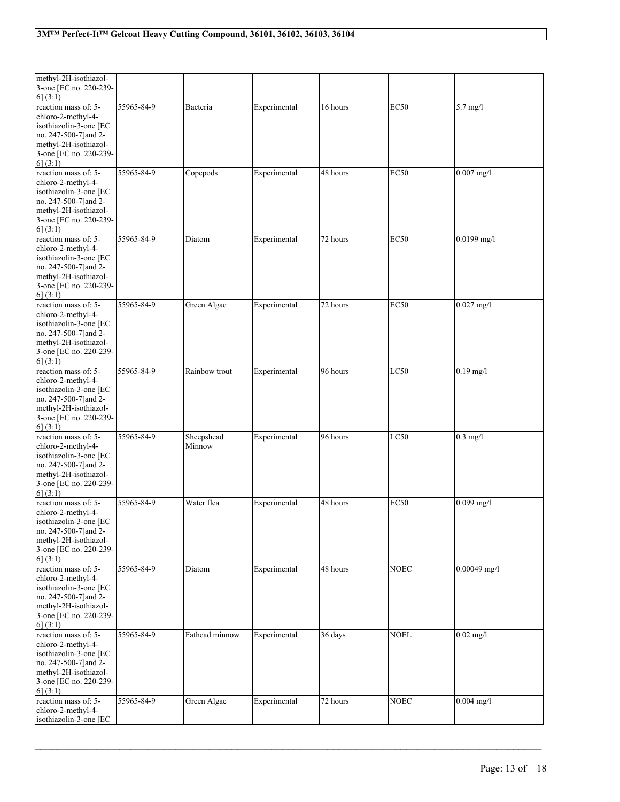| methyl-2H-isothiazol-<br>3-one [EC no. 220-239-<br>6(3:1)                                                                                                    |            |                      |              |          |             |                |
|--------------------------------------------------------------------------------------------------------------------------------------------------------------|------------|----------------------|--------------|----------|-------------|----------------|
| reaction mass of: 5-<br>chloro-2-methyl-4-<br>isothiazolin-3-one [EC<br>no. 247-500-7]and 2-<br>methyl-2H-isothiazol-<br>3-one [EC no. 220-239-<br>6(3:1)    | 55965-84-9 | Bacteria             | Experimental | 16 hours | <b>EC50</b> | 5.7 mg/l       |
| reaction mass of: 5-<br>chloro-2-methyl-4-<br>isothiazolin-3-one [EC<br>no. 247-500-7]and 2-<br>methyl-2H-isothiazol-<br>3-one [EC no. 220-239-<br>6] (3:1)  | 55965-84-9 | Copepods             | Experimental | 48 hours | <b>EC50</b> | $0.007$ mg/l   |
| reaction mass of: 5-<br>chloro-2-methyl-4-<br>isothiazolin-3-one [EC<br>no. 247-500-7] and 2-<br>methyl-2H-isothiazol-<br>3-one [EC no. 220-239-<br>6] (3:1) | 55965-84-9 | Diatom               | Experimental | 72 hours | <b>EC50</b> | $0.0199$ mg/l  |
| reaction mass of: 5-<br>chloro-2-methyl-4-<br>isothiazolin-3-one [EC<br>no. 247-500-7] and 2-<br>methyl-2H-isothiazol-<br>3-one [EC no. 220-239-<br>6] (3:1) | 55965-84-9 | Green Algae          | Experimental | 72 hours | <b>EC50</b> | $0.027$ mg/l   |
| reaction mass of: 5-<br>chloro-2-methyl-4-<br>isothiazolin-3-one [EC<br>no. 247-500-7] and 2-<br>methyl-2H-isothiazol-<br>3-one [EC no. 220-239-<br>6(3:1)   | 55965-84-9 | Rainbow trout        | Experimental | 96 hours | LC50        | $0.19$ mg/l    |
| reaction mass of: 5-<br>chloro-2-methyl-4-<br>isothiazolin-3-one [EC<br>no. 247-500-7] and 2-<br>methyl-2H-isothiazol-<br>3-one [EC no. 220-239-<br>6] (3:1) | 55965-84-9 | Sheepshead<br>Minnow | Experimental | 96 hours | LC50        | $0.3$ mg/l     |
| reaction mass of: 5-<br>chloro-2-methyl-4-<br>isothiazolin-3-one [EC<br>no. 247-500-7] and 2-<br>methyl-2H-isothiazol-<br>3-one [EC no. 220-239-<br>6(3:1)   | 55965-84-9 | Water flea           | Experimental | 48 hours | <b>EC50</b> | $0.099$ mg/l   |
| reaction mass of: 5-<br>chloro-2-methyl-4-<br>isothiazolin-3-one [EC<br>no. 247-500-7] and 2-<br>methyl-2H-isothiazol-<br>3-one [EC no. 220-239-<br>6] (3:1) | 55965-84-9 | Diatom               | Experimental | 48 hours | <b>NOEC</b> | $0.00049$ mg/l |
| reaction mass of: 5-<br>chloro-2-methyl-4-<br>isothiazolin-3-one [EC<br>no. 247-500-7]and 2-<br>methyl-2H-isothiazol-<br>3-one [EC no. 220-239-<br>6(3:1)    | 55965-84-9 | Fathead minnow       | Experimental | 36 days  | <b>NOEL</b> | $0.02$ mg/l    |
| reaction mass of: 5-<br>chloro-2-methyl-4-<br>isothiazolin-3-one [EC                                                                                         | 55965-84-9 | Green Algae          | Experimental | 72 hours | <b>NOEC</b> | $0.004$ mg/l   |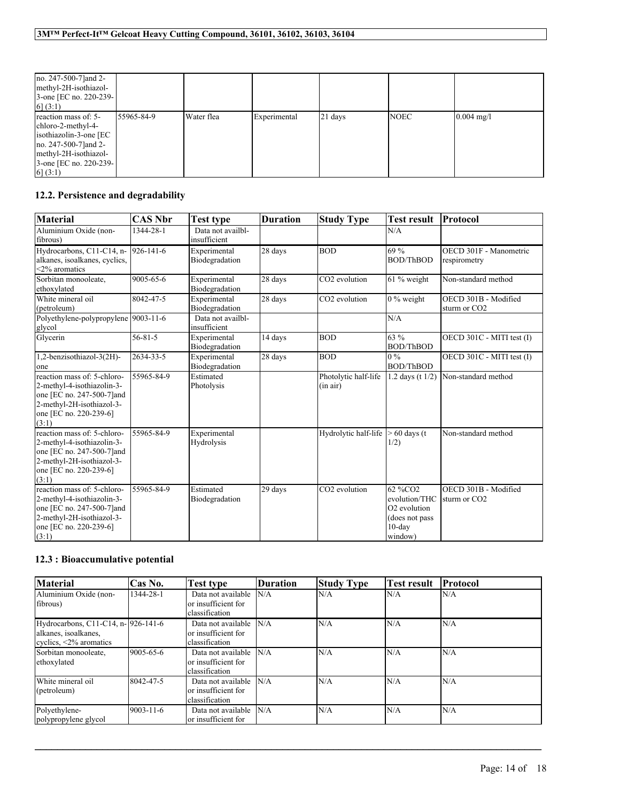| no. 247-500-7 and 2-<br>methyl-2H-isothiazol-<br>3-one [EC no. 220-239-]<br>6(3:1)                                                                            |            |            |              |         |             |                      |
|---------------------------------------------------------------------------------------------------------------------------------------------------------------|------------|------------|--------------|---------|-------------|----------------------|
| reaction mass of: 5-<br>chloro-2-methyl-4-<br>isothiazolin-3-one [EC]<br>no. 247-500-7 and 2-<br>methyl-2H-isothiazol-<br>3-one [EC no. 220-239-]<br>6] (3:1) | 55965-84-9 | Water flea | Experimental | 21 days | <b>NOEC</b> | $0.004 \text{ mg/l}$ |

# **12.2. Persistence and degradability**

| <b>Material</b>                      | <b>CAS Nbr</b> | Test type         | <b>Duration</b> | <b>Study Type</b>         | <b>Test result</b>       | Protocol                  |
|--------------------------------------|----------------|-------------------|-----------------|---------------------------|--------------------------|---------------------------|
| Aluminium Oxide (non-                | 1344-28-1      | Data not availbl- |                 |                           | N/A                      |                           |
| fibrous)                             |                | insufficient      |                 |                           |                          |                           |
| Hydrocarbons, C11-C14, n-            | 926-141-6      | Experimental      | 28 days         | <b>BOD</b>                | 69 %                     | OECD 301F - Manometric    |
| alkanes, isoalkanes, cyclics,        |                | Biodegradation    |                 |                           | <b>BOD/ThBOD</b>         | respirometry              |
| $<$ 2% aromatics                     |                |                   |                 |                           |                          |                           |
| Sorbitan monooleate,                 | 9005-65-6      | Experimental      | 28 days         | CO2 evolution             | $61\%$ weight            | Non-standard method       |
| ethoxylated                          |                | Biodegradation    |                 |                           |                          |                           |
| White mineral oil                    | 8042-47-5      | Experimental      | 28 days         | CO <sub>2</sub> evolution | $0\%$ weight             | OECD 301B - Modified      |
| (petroleum)                          |                | Biodegradation    |                 |                           |                          | sturm or CO <sub>2</sub>  |
| Polyethylene-polypropylene 9003-11-6 |                | Data not availbl- |                 |                           | N/A                      |                           |
| glycol                               |                | insufficient      |                 |                           |                          |                           |
| Glycerin                             | 56-81-5        | Experimental      | 14 days         | <b>BOD</b>                | 63 %                     | OECD 301C - MITI test (I) |
|                                      |                | Biodegradation    |                 |                           | <b>BOD/ThBOD</b>         |                           |
| 1,2-benzisothiazol-3(2H)-            | 2634-33-5      | Experimental      | 28 days         | <b>BOD</b>                | $\sqrt{0\%}$             | OECD 301C - MITI test (I) |
| one                                  |                | Biodegradation    |                 |                           | <b>BOD/ThBOD</b>         |                           |
| reaction mass of: 5-chloro-          | 55965-84-9     | Estimated         |                 | Photolytic half-life      | 1.2 days (t $1/2$ )      | Non-standard method       |
| 2-methyl-4-isothiazolin-3-           |                | Photolysis        |                 | (in air)                  |                          |                           |
| one [EC no. 247-500-7] and           |                |                   |                 |                           |                          |                           |
| 2-methyl-2H-isothiazol-3-            |                |                   |                 |                           |                          |                           |
| one [EC no. 220-239-6]               |                |                   |                 |                           |                          |                           |
| (3:1)                                |                |                   |                 |                           |                          |                           |
| reaction mass of: 5-chloro-          | 55965-84-9     | Experimental      |                 | Hydrolytic half-life      | $> 60$ days (t)          | Non-standard method       |
| 2-methyl-4-isothiazolin-3-           |                | Hydrolysis        |                 |                           | 1/2)                     |                           |
| one [EC no. 247-500-7] and           |                |                   |                 |                           |                          |                           |
| 2-methyl-2H-isothiazol-3-            |                |                   |                 |                           |                          |                           |
| one [EC no. 220-239-6]               |                |                   |                 |                           |                          |                           |
| (3:1)                                |                |                   |                 |                           |                          |                           |
| reaction mass of: 5-chloro-          | 55965-84-9     | Estimated         | 29 days         | CO2 evolution             | 62 %CO2                  | OECD 301B - Modified      |
| 2-methyl-4-isothiazolin-3-           |                | Biodegradation    |                 |                           | evolution/THC            | sturm or CO <sub>2</sub>  |
| one [EC no. 247-500-7] and           |                |                   |                 |                           | O <sub>2</sub> evolution |                           |
| 2-methyl-2H-isothiazol-3-            |                |                   |                 |                           | (does not pass           |                           |
| one [EC no. 220-239-6]               |                |                   |                 |                           | $10$ -day                |                           |
| (3:1)                                |                |                   |                 |                           | window)                  |                           |

# **12.3 : Bioaccumulative potential**

| <b>Material</b>                                                                              | Cas No.         | <b>Test type</b>                                            | <b>Duration</b> | <b>Study Type</b> | <b>Test result</b> | Protocol |
|----------------------------------------------------------------------------------------------|-----------------|-------------------------------------------------------------|-----------------|-------------------|--------------------|----------|
| Aluminium Oxide (non-<br>fibrous)                                                            | 1344-28-1       | Data not available<br>or insufficient for<br>classification | N/A             | N/A               | N/A                | N/A      |
| Hydrocarbons, C11-C14, n-1926-141-6<br>alkanes, isoalkanes,<br>evelies, $\leq 2\%$ aromatics |                 | Data not available<br>or insufficient for<br>classification | N/A             | N/A               | N/A                | N/A      |
| Sorbitan monooleate,<br>ethoxylated                                                          | 9005-65-6       | Data not available<br>or insufficient for<br>classification | N/A             | N/A               | N/A                | N/A      |
| White mineral oil<br>(petroleum)                                                             | 8042-47-5       | Data not available<br>or insufficient for<br>classification | N/A             | N/A               | N/A                | IN/A     |
| Polyethylene-<br>polypropylene glycol                                                        | $9003 - 11 - 6$ | Data not available<br>or insufficient for                   | N/A             | N/A               | N/A                | IN/A     |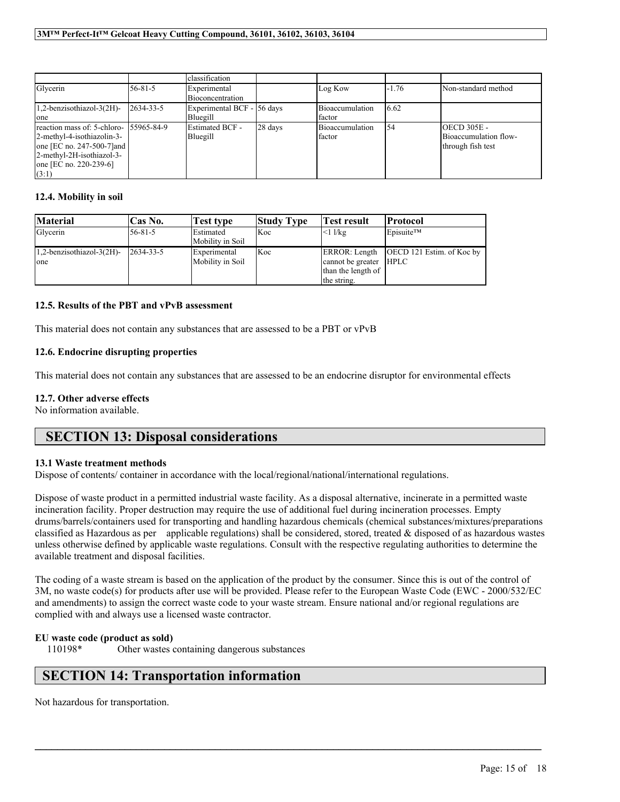|                                         |                 | classification             |         |                 |         |                       |
|-----------------------------------------|-----------------|----------------------------|---------|-----------------|---------|-----------------------|
| Glycerin                                | $56 - 81 - 5$   | Experimental               |         | Log Kow         | $-1.76$ | Non-standard method   |
|                                         |                 | Bioconcentration           |         |                 |         |                       |
| $1,2$ -benzisothiazol-3 $(2H)$ -        | $2634 - 33 - 5$ | Experimental BCF - 56 days |         | Bioaccumulation | 6.62    |                       |
| one                                     |                 | Bluegill                   |         | factor          |         |                       |
| reaction mass of: 5-chloro- 155965-84-9 |                 | Estimated BCF -            | 28 days | Bioaccumulation | 154     | <b>OECD 305E -</b>    |
| 2-methyl-4-isothiazolin-3-              |                 | Bluegill                   |         | factor          |         | Bioaccumulation flow- |
| one [EC no. 247-500-7] and              |                 |                            |         |                 |         | through fish test     |
| 2-methyl-2H-isothiazol-3-               |                 |                            |         |                 |         |                       |
| one [EC no. $220-239-6$ ]               |                 |                            |         |                 |         |                       |
| (3:1)                                   |                 |                            |         |                 |         |                       |

## **12.4. Mobility in soil**

| <b>Material</b>              | Cas No.          | Test type        | <b>Study Type</b> | <b>Test result</b>     | Protocol                                  |
|------------------------------|------------------|------------------|-------------------|------------------------|-------------------------------------------|
| Glycerin                     | 56-81-5          | Estimated        | Koc               | $<1$ l/kg              | Episuite™                                 |
|                              |                  | Mobility in Soil |                   |                        |                                           |
| $1,2$ -benzisothiazol-3(2H)- | $12634 - 33 - 5$ | Experimental     | Koc               |                        | ERROR: Length   OECD 121 Estim. of Koc by |
| one                          |                  | Mobility in Soil |                   | cannot be greater HPLC |                                           |
|                              |                  |                  |                   | than the length of     |                                           |
|                              |                  |                  |                   | the string.            |                                           |

## **12.5. Results of the PBT and vPvB assessment**

This material does not contain any substances that are assessed to be a PBT or vPvB

## **12.6. Endocrine disrupting properties**

This material does not contain any substances that are assessed to be an endocrine disruptor for environmental effects

## **12.7. Other adverse effects**

No information available.

# **SECTION 13: Disposal considerations**

### **13.1 Waste treatment methods**

Dispose of contents/ container in accordance with the local/regional/national/international regulations.

Dispose of waste product in a permitted industrial waste facility. As a disposal alternative, incinerate in a permitted waste incineration facility. Proper destruction may require the use of additional fuel during incineration processes. Empty drums/barrels/containers used for transporting and handling hazardous chemicals (chemical substances/mixtures/preparations classified as Hazardous as per applicable regulations) shall be considered, stored, treated  $\&$  disposed of as hazardous wastes unless otherwise defined by applicable waste regulations. Consult with the respective regulating authorities to determine the available treatment and disposal facilities.

The coding of a waste stream is based on the application of the product by the consumer. Since this is out of the control of 3M, no waste code(s) for products after use will be provided. Please refer to the European Waste Code (EWC - 2000/532/EC and amendments) to assign the correct waste code to your waste stream. Ensure national and/or regional regulations are complied with and always use a licensed waste contractor.

 $\mathcal{L}_\mathcal{L} = \mathcal{L}_\mathcal{L} = \mathcal{L}_\mathcal{L} = \mathcal{L}_\mathcal{L} = \mathcal{L}_\mathcal{L} = \mathcal{L}_\mathcal{L} = \mathcal{L}_\mathcal{L} = \mathcal{L}_\mathcal{L} = \mathcal{L}_\mathcal{L} = \mathcal{L}_\mathcal{L} = \mathcal{L}_\mathcal{L} = \mathcal{L}_\mathcal{L} = \mathcal{L}_\mathcal{L} = \mathcal{L}_\mathcal{L} = \mathcal{L}_\mathcal{L} = \mathcal{L}_\mathcal{L} = \mathcal{L}_\mathcal{L}$ 

# **EU waste code (product as sold)**

110198\* Other wastes containing dangerous substances

# **SECTION 14: Transportation information**

Not hazardous for transportation.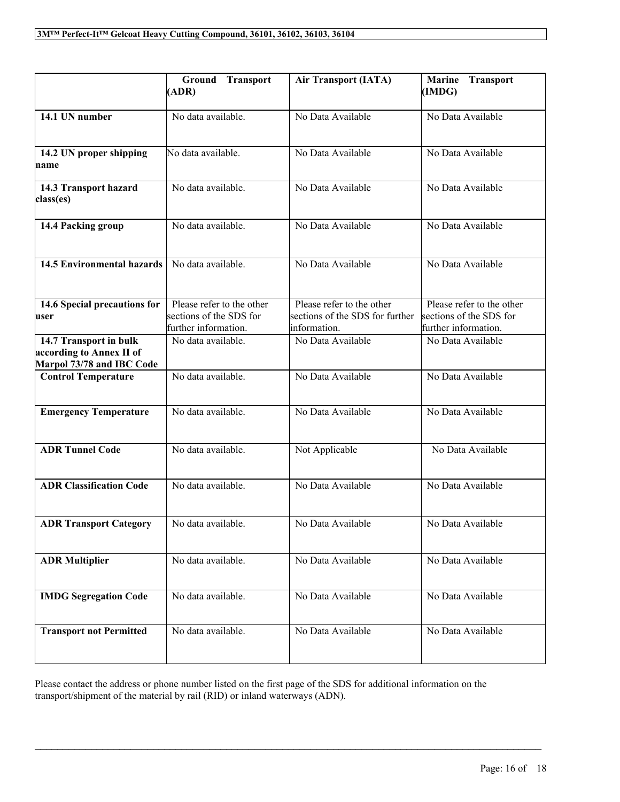|                                                                                 | <b>Ground Transport</b><br>(ADR)                                             | <b>Air Transport (IATA)</b>                                                  | <b>Transport</b><br><b>Marine</b><br>(IMDG)                                  |
|---------------------------------------------------------------------------------|------------------------------------------------------------------------------|------------------------------------------------------------------------------|------------------------------------------------------------------------------|
| 14.1 UN number                                                                  | No data available.                                                           | No Data Available                                                            | No Data Available                                                            |
| 14.2 UN proper shipping<br>name                                                 | No data available.                                                           | No Data Available                                                            | No Data Available                                                            |
| 14.3 Transport hazard<br>class(es)                                              | No data available.                                                           | No Data Available                                                            | No Data Available                                                            |
| 14.4 Packing group                                                              | No data available.                                                           | No Data Available                                                            | No Data Available                                                            |
| <b>14.5 Environmental hazards</b>                                               | No data available.                                                           | No Data Available                                                            | No Data Available                                                            |
| 14.6 Special precautions for<br>user                                            | Please refer to the other<br>sections of the SDS for<br>further information. | Please refer to the other<br>sections of the SDS for further<br>information. | Please refer to the other<br>sections of the SDS for<br>further information. |
| 14.7 Transport in bulk<br>according to Annex II of<br>Marpol 73/78 and IBC Code | No data available.                                                           | No Data Available                                                            | No Data Available                                                            |
| <b>Control Temperature</b>                                                      | No data available.                                                           | No Data Available                                                            | No Data Available                                                            |
| <b>Emergency Temperature</b>                                                    | No data available.                                                           | No Data Available                                                            | No Data Available                                                            |
| <b>ADR Tunnel Code</b>                                                          | No data available.                                                           | Not Applicable                                                               | No Data Available                                                            |
| <b>ADR Classification Code</b>                                                  | No data available.                                                           | No Data Available                                                            | No Data Available                                                            |
| <b>ADR Transport Category</b>                                                   | No data available.                                                           | No Data Available                                                            | No Data Available                                                            |
| <b>ADR Multiplier</b>                                                           | No data available.                                                           | No Data Available                                                            | No Data Available                                                            |
| <b>IMDG Segregation Code</b>                                                    | No data available.                                                           | No Data Available                                                            | No Data Available                                                            |
| <b>Transport not Permitted</b>                                                  | No data available.                                                           | No Data Available                                                            | No Data Available                                                            |

Please contact the address or phone number listed on the first page of the SDS for additional information on the transport/shipment of the material by rail (RID) or inland waterways (ADN).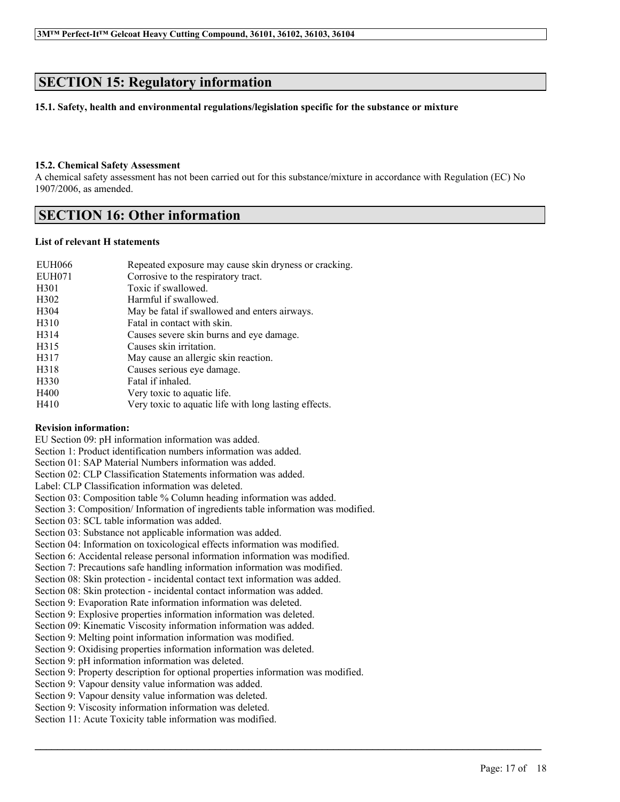# **SECTION 15: Regulatory information**

### **15.1. Safety, health and environmental regulations/legislation specific for the substance or mixture**

### **15.2. Chemical Safety Assessment**

A chemical safety assessment has not been carried out for this substance/mixture in accordance with Regulation (EC) No 1907/2006, as amended.

# **SECTION 16: Other information**

### **List of relevant H statements**

| EUH066            | Repeated exposure may cause skin dryness or cracking. |
|-------------------|-------------------------------------------------------|
| EUH071            | Corrosive to the respiratory tract.                   |
| H <sub>301</sub>  | Toxic if swallowed.                                   |
| H <sub>3</sub> 02 | Harmful if swallowed.                                 |
| H304              | May be fatal if swallowed and enters airways.         |
| H <sub>3</sub> 10 | Fatal in contact with skin.                           |
| H <sub>3</sub> 14 | Causes severe skin burns and eye damage.              |
| H315              | Causes skin irritation.                               |
| H317              | May cause an allergic skin reaction.                  |
| H318              | Causes serious eye damage.                            |
| H330              | Fatal if inhaled.                                     |
| H400              | Very toxic to aquatic life.                           |
| H410              | Very toxic to aquatic life with long lasting effects. |

### **Revision information:**

EU Section 09: pH information information was added.

Section 1: Product identification numbers information was added.

Section 01: SAP Material Numbers information was added.

Section 02: CLP Classification Statements information was added.

Label: CLP Classification information was deleted.

Section 03: Composition table % Column heading information was added.

Section 3: Composition/ Information of ingredients table information was modified.

Section 03: SCL table information was added.

Section 03: Substance not applicable information was added.

Section 04: Information on toxicological effects information was modified.

Section 6: Accidental release personal information information was modified.

Section 7: Precautions safe handling information information was modified.

Section 08: Skin protection - incidental contact text information was added.

Section 08: Skin protection - incidental contact information was added.

Section 9: Evaporation Rate information information was deleted.

Section 9: Explosive properties information information was deleted.

Section 09: Kinematic Viscosity information information was added.

Section 9: Melting point information information was modified.

Section 9: Oxidising properties information information was deleted.

Section 9: pH information information was deleted.

Section 9: Property description for optional properties information was modified.

 $\mathcal{L}_\mathcal{L} = \mathcal{L}_\mathcal{L} = \mathcal{L}_\mathcal{L} = \mathcal{L}_\mathcal{L} = \mathcal{L}_\mathcal{L} = \mathcal{L}_\mathcal{L} = \mathcal{L}_\mathcal{L} = \mathcal{L}_\mathcal{L} = \mathcal{L}_\mathcal{L} = \mathcal{L}_\mathcal{L} = \mathcal{L}_\mathcal{L} = \mathcal{L}_\mathcal{L} = \mathcal{L}_\mathcal{L} = \mathcal{L}_\mathcal{L} = \mathcal{L}_\mathcal{L} = \mathcal{L}_\mathcal{L} = \mathcal{L}_\mathcal{L}$ 

Section 9: Vapour density value information was added.

Section 9: Vapour density value information was deleted.

Section 9: Viscosity information information was deleted.

Section 11: Acute Toxicity table information was modified.